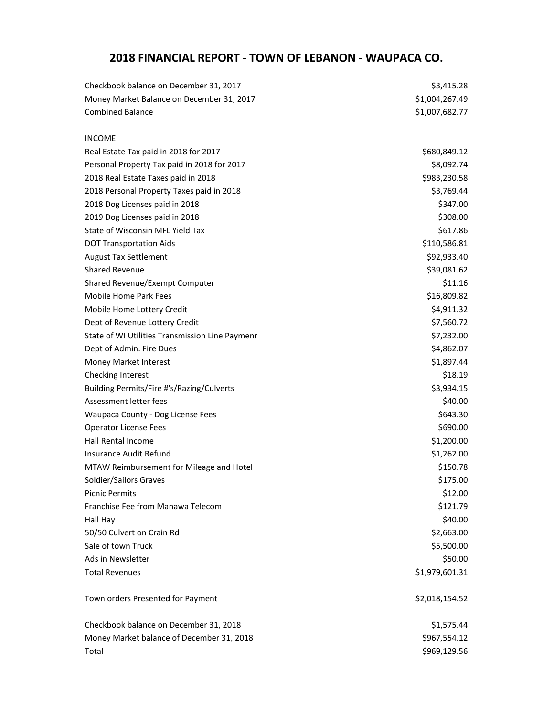## **2018 FINANCIAL REPORT - TOWN OF LEBANON - WAUPACA CO.**

| Checkbook balance on December 31, 2017          | \$3,415.28     |
|-------------------------------------------------|----------------|
| Money Market Balance on December 31, 2017       | \$1,004,267.49 |
| <b>Combined Balance</b>                         | \$1,007,682.77 |
|                                                 |                |
| <b>INCOME</b>                                   |                |
| Real Estate Tax paid in 2018 for 2017           | \$680,849.12   |
| Personal Property Tax paid in 2018 for 2017     | \$8,092.74     |
| 2018 Real Estate Taxes paid in 2018             | \$983,230.58   |
| 2018 Personal Property Taxes paid in 2018       | \$3,769.44     |
| 2018 Dog Licenses paid in 2018                  | \$347.00       |
| 2019 Dog Licenses paid in 2018                  | \$308.00       |
| State of Wisconsin MFL Yield Tax                | \$617.86       |
| <b>DOT Transportation Aids</b>                  | \$110,586.81   |
| <b>August Tax Settlement</b>                    | \$92,933.40    |
| <b>Shared Revenue</b>                           | \$39,081.62    |
| Shared Revenue/Exempt Computer                  | \$11.16        |
| <b>Mobile Home Park Fees</b>                    | \$16,809.82    |
| Mobile Home Lottery Credit                      | \$4,911.32     |
| Dept of Revenue Lottery Credit                  | \$7,560.72     |
| State of WI Utilities Transmission Line Paymenr | \$7,232.00     |
| Dept of Admin. Fire Dues                        | \$4,862.07     |
| Money Market Interest                           | \$1,897.44     |
| Checking Interest                               | \$18.19        |
| Building Permits/Fire #'s/Razing/Culverts       | \$3,934.15     |
| Assessment letter fees                          | \$40.00        |
| Waupaca County - Dog License Fees               | \$643.30       |
| <b>Operator License Fees</b>                    | \$690.00       |
| <b>Hall Rental Income</b>                       | \$1,200.00     |
| Insurance Audit Refund                          | \$1,262.00     |
| MTAW Reimbursement for Mileage and Hotel        | \$150.78       |
| Soldier/Sailors Graves                          | \$175.00       |
| <b>Picnic Permits</b>                           | \$12.00        |
| Franchise Fee from Manawa Telecom               | \$121.79       |
| Hall Hay                                        | \$40.00        |
| 50/50 Culvert on Crain Rd                       | \$2,663.00     |
| Sale of town Truck                              | \$5,500.00     |
| Ads in Newsletter                               | \$50.00        |
| <b>Total Revenues</b>                           | \$1,979,601.31 |
| Town orders Presented for Payment               | \$2,018,154.52 |
| Checkbook balance on December 31, 2018          | \$1,575.44     |
| Money Market balance of December 31, 2018       | \$967,554.12   |
| Total                                           | \$969,129.56   |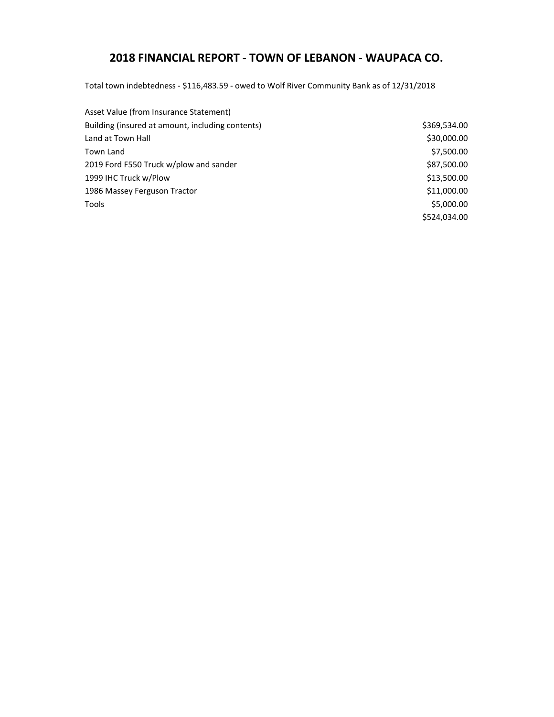## **2018 FINANCIAL REPORT - TOWN OF LEBANON - WAUPACA CO.**

Total town indebtedness - \$116,483.59 - owed to Wolf River Community Bank as of 12/31/2018

| Asset Value (from Insurance Statement)           |              |
|--------------------------------------------------|--------------|
| Building (insured at amount, including contents) | \$369,534.00 |
| Land at Town Hall                                | \$30,000.00  |
| Town Land                                        | \$7,500.00   |
| 2019 Ford F550 Truck w/plow and sander           | \$87,500.00  |
| 1999 IHC Truck w/Plow                            | \$13,500.00  |
| 1986 Massey Ferguson Tractor                     | \$11,000.00  |
| Tools                                            | \$5,000.00   |
|                                                  | \$524,034.00 |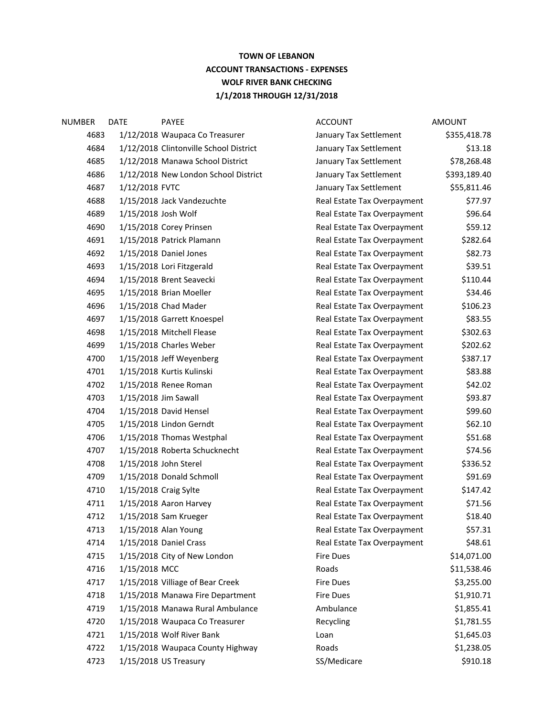## **TOWN OF LEBANON ACCOUNT TRANSACTIONS - EXPENSES WOLF RIVER BANK CHECKING 1/1/2018 THROUGH 12/31/2018**

| <b>NUMBER</b> | DATE                  | <b>PAYEE</b>                           | <b>ACCOUNT</b>              | <b>AMOUNT</b> |
|---------------|-----------------------|----------------------------------------|-----------------------------|---------------|
| 4683          |                       | 1/12/2018 Waupaca Co Treasurer         | January Tax Settlement      | \$355,418.78  |
| 4684          |                       | 1/12/2018 Clintonville School District | January Tax Settlement      | \$13.18       |
| 4685          |                       | 1/12/2018 Manawa School District       | January Tax Settlement      | \$78,268.48   |
| 4686          |                       | 1/12/2018 New London School District   | January Tax Settlement      | \$393,189.40  |
| 4687          | 1/12/2018 FVTC        |                                        | January Tax Settlement      | \$55,811.46   |
| 4688          |                       | 1/15/2018 Jack Vandezuchte             | Real Estate Tax Overpayment | \$77.97       |
| 4689          | 1/15/2018 Josh Wolf   |                                        | Real Estate Tax Overpayment | \$96.64       |
| 4690          |                       | 1/15/2018 Corey Prinsen                | Real Estate Tax Overpayment | \$59.12       |
| 4691          |                       | 1/15/2018 Patrick Plamann              | Real Estate Tax Overpayment | \$282.64      |
| 4692          |                       | 1/15/2018 Daniel Jones                 | Real Estate Tax Overpayment | \$82.73       |
| 4693          |                       | 1/15/2018 Lori Fitzgerald              | Real Estate Tax Overpayment | \$39.51       |
| 4694          |                       | 1/15/2018 Brent Seavecki               | Real Estate Tax Overpayment | \$110.44      |
| 4695          |                       | 1/15/2018 Brian Moeller                | Real Estate Tax Overpayment | \$34.46       |
| 4696          |                       | 1/15/2018 Chad Mader                   | Real Estate Tax Overpayment | \$106.23      |
| 4697          |                       | 1/15/2018 Garrett Knoespel             | Real Estate Tax Overpayment | \$83.55       |
| 4698          |                       | 1/15/2018 Mitchell Flease              | Real Estate Tax Overpayment | \$302.63      |
| 4699          |                       | 1/15/2018 Charles Weber                | Real Estate Tax Overpayment | \$202.62      |
| 4700          |                       | 1/15/2018 Jeff Weyenberg               | Real Estate Tax Overpayment | \$387.17      |
| 4701          |                       | 1/15/2018 Kurtis Kulinski              | Real Estate Tax Overpayment | \$83.88       |
| 4702          |                       | 1/15/2018 Renee Roman                  | Real Estate Tax Overpayment | \$42.02       |
| 4703          | 1/15/2018 Jim Sawall  |                                        | Real Estate Tax Overpayment | \$93.87       |
| 4704          |                       | 1/15/2018 David Hensel                 | Real Estate Tax Overpayment | \$99.60       |
| 4705          |                       | 1/15/2018 Lindon Gerndt                | Real Estate Tax Overpayment | \$62.10       |
| 4706          |                       | 1/15/2018 Thomas Westphal              | Real Estate Tax Overpayment | \$51.68       |
| 4707          |                       | 1/15/2018 Roberta Schucknecht          | Real Estate Tax Overpayment | \$74.56       |
| 4708          |                       | 1/15/2018 John Sterel                  | Real Estate Tax Overpayment | \$336.52      |
| 4709          |                       | 1/15/2018 Donald Schmoll               | Real Estate Tax Overpayment | \$91.69       |
| 4710          | 1/15/2018 Craig Sylte |                                        | Real Estate Tax Overpayment | \$147.42      |
| 4711          |                       | 1/15/2018 Aaron Harvey                 | Real Estate Tax Overpayment | \$71.56       |
| 4712          |                       | 1/15/2018 Sam Krueger                  | Real Estate Tax Overpayment | \$18.40       |
| 4713          |                       | 1/15/2018 Alan Young                   | Real Estate Tax Overpayment | \$57.31       |
| 4714          |                       | 1/15/2018 Daniel Crass                 | Real Estate Tax Overpayment | \$48.61       |
| 4715          |                       | 1/15/2018 City of New London           | <b>Fire Dues</b>            | \$14,071.00   |
| 4716          | 1/15/2018 MCC         |                                        | Roads                       | \$11,538.46   |
| 4717          |                       | 1/15/2018 Villiage of Bear Creek       | <b>Fire Dues</b>            | \$3,255.00    |
| 4718          |                       | 1/15/2018 Manawa Fire Department       | Fire Dues                   | \$1,910.71    |
| 4719          |                       | 1/15/2018 Manawa Rural Ambulance       | Ambulance                   | \$1,855.41    |
| 4720          |                       | 1/15/2018 Waupaca Co Treasurer         | Recycling                   | \$1,781.55    |
| 4721          |                       | 1/15/2018 Wolf River Bank              | Loan                        | \$1,645.03    |
| 4722          |                       | 1/15/2018 Waupaca County Highway       | Roads                       | \$1,238.05    |
| 4723          |                       | 1/15/2018 US Treasury                  | SS/Medicare                 | \$910.18      |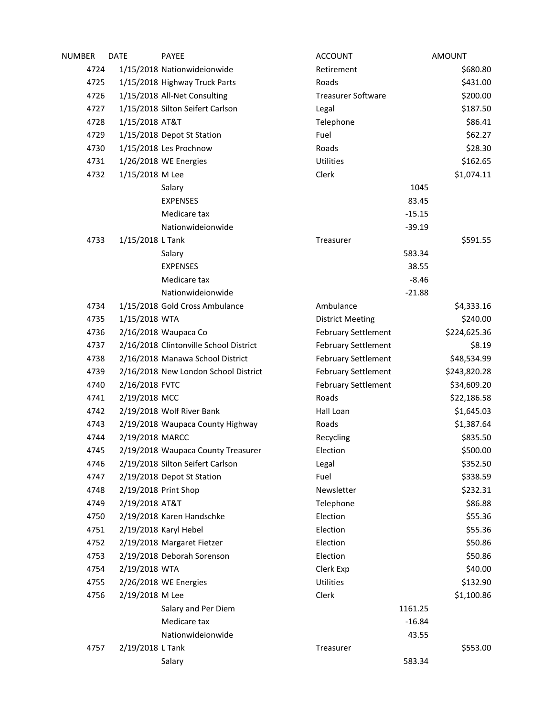| NUMBER | <b>DATE</b>          | <b>PAYEE</b>                           | <b>ACCOUNT</b>             |          | <b>AMOUNT</b> |
|--------|----------------------|----------------------------------------|----------------------------|----------|---------------|
| 4724   |                      | 1/15/2018 Nationwideionwide            | Retirement                 |          | \$680.80      |
| 4725   |                      | 1/15/2018 Highway Truck Parts          | Roads                      |          | \$431.00      |
| 4726   |                      | 1/15/2018 All-Net Consulting           | <b>Treasurer Software</b>  |          | \$200.00      |
| 4727   |                      | 1/15/2018 Silton Seifert Carlson       | Legal                      |          | \$187.50      |
| 4728   | 1/15/2018 AT&T       |                                        | Telephone                  |          | \$86.41       |
| 4729   |                      | 1/15/2018 Depot St Station             | Fuel                       |          | \$62.27       |
| 4730   |                      | 1/15/2018 Les Prochnow                 | Roads                      |          | \$28.30       |
| 4731   |                      | 1/26/2018 WE Energies                  | Utilities                  |          | \$162.65      |
| 4732   | 1/15/2018 M Lee      |                                        | Clerk                      |          | \$1,074.11    |
|        |                      | Salary                                 |                            | 1045     |               |
|        |                      | <b>EXPENSES</b>                        |                            | 83.45    |               |
|        |                      | Medicare tax                           |                            | $-15.15$ |               |
|        |                      | Nationwideionwide                      |                            | $-39.19$ |               |
| 4733   | 1/15/2018 L Tank     |                                        | Treasurer                  |          | \$591.55      |
|        |                      | Salary                                 |                            | 583.34   |               |
|        |                      | <b>EXPENSES</b>                        |                            | 38.55    |               |
|        |                      | Medicare tax                           |                            | $-8.46$  |               |
|        |                      | Nationwideionwide                      |                            | $-21.88$ |               |
| 4734   |                      | 1/15/2018 Gold Cross Ambulance         | Ambulance                  |          | \$4,333.16    |
| 4735   | 1/15/2018 WTA        |                                        | <b>District Meeting</b>    |          | \$240.00      |
| 4736   |                      | 2/16/2018 Waupaca Co                   | <b>February Settlement</b> |          | \$224,625.36  |
| 4737   |                      | 2/16/2018 Clintonville School District | <b>February Settlement</b> |          | \$8.19        |
| 4738   |                      | 2/16/2018 Manawa School District       | <b>February Settlement</b> |          | \$48,534.99   |
| 4739   |                      | 2/16/2018 New London School District   | <b>February Settlement</b> |          | \$243,820.28  |
| 4740   | 2/16/2018 FVTC       |                                        | <b>February Settlement</b> |          | \$34,609.20   |
| 4741   | 2/19/2018 MCC        |                                        | Roads                      |          | \$22,186.58   |
| 4742   |                      | 2/19/2018 Wolf River Bank              | Hall Loan                  |          | \$1,645.03    |
| 4743   |                      | 2/19/2018 Waupaca County Highway       | Roads                      |          | \$1,387.64    |
| 4744   | 2/19/2018 MARCC      |                                        | Recycling                  |          | \$835.50      |
| 4745   |                      | 2/19/2018 Waupaca County Treasurer     | Election                   |          | \$500.00      |
| 4746   |                      | 2/19/2018 Silton Seifert Carlson       | Legal                      |          | \$352.50      |
| 4747   |                      | 2/19/2018 Depot St Station             | Fuel                       |          | \$338.59      |
| 4748   | 2/19/2018 Print Shop |                                        | Newsletter                 |          | \$232.31      |
| 4749   | 2/19/2018 AT&T       |                                        | Telephone                  |          | \$86.88       |
| 4750   |                      | 2/19/2018 Karen Handschke              | Election                   |          | \$55.36       |
| 4751   |                      | 2/19/2018 Karyl Hebel                  | Election                   |          | \$55.36       |
| 4752   |                      | 2/19/2018 Margaret Fietzer             | Election                   |          | \$50.86       |
| 4753   |                      | 2/19/2018 Deborah Sorenson             | Election                   |          | \$50.86       |
| 4754   | 2/19/2018 WTA        |                                        | Clerk Exp                  |          | \$40.00       |
| 4755   |                      | 2/26/2018 WE Energies                  | Utilities                  |          | \$132.90      |
| 4756   | 2/19/2018 M Lee      |                                        | Clerk                      |          | \$1,100.86    |
|        |                      | Salary and Per Diem                    |                            | 1161.25  |               |
|        |                      | Medicare tax                           |                            | $-16.84$ |               |
|        |                      | Nationwideionwide                      |                            | 43.55    |               |
| 4757   | 2/19/2018 L Tank     |                                        | Treasurer                  |          | \$553.00      |
|        |                      | Salary                                 |                            | 583.34   |               |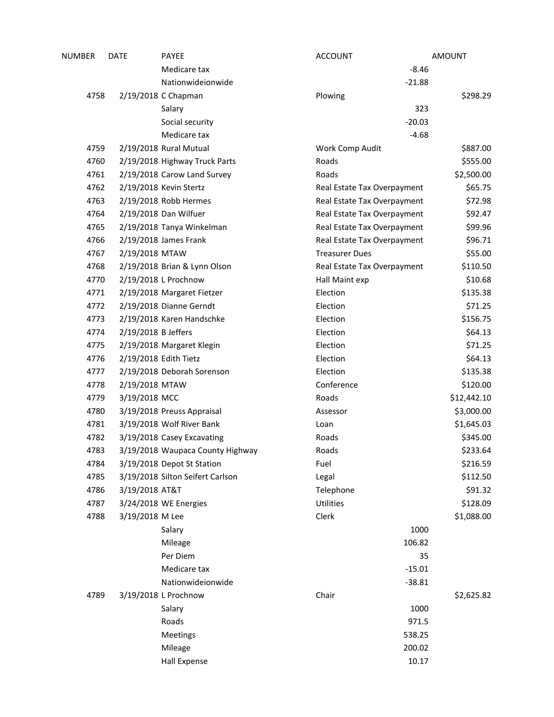| NUMBER | <b>DATE</b>         | <b>PAYEE</b>                     | <b>ACCOUNT</b>              | <b>AMOUNT</b> |
|--------|---------------------|----------------------------------|-----------------------------|---------------|
|        |                     | Medicare tax                     |                             | $-8.46$       |
|        |                     | Nationwideionwide                |                             | $-21.88$      |
| 4758   |                     | 2/19/2018 C Chapman              | Plowing                     | \$298.29      |
|        |                     | Salary                           |                             | 323           |
|        |                     | Social security                  |                             | $-20.03$      |
|        |                     | Medicare tax                     |                             | $-4.68$       |
| 4759   |                     | 2/19/2018 Rural Mutual           | Work Comp Audit             | \$887.00      |
| 4760   |                     | 2/19/2018 Highway Truck Parts    | Roads                       | \$555.00      |
| 4761   |                     | 2/19/2018 Carow Land Survey      | Roads                       | \$2,500.00    |
| 4762   |                     | 2/19/2018 Kevin Stertz           | Real Estate Tax Overpayment | \$65.75       |
| 4763   |                     | 2/19/2018 Robb Hermes            | Real Estate Tax Overpayment | \$72.98       |
| 4764   |                     | 2/19/2018 Dan Wilfuer            | Real Estate Tax Overpayment | \$92.47       |
| 4765   |                     | 2/19/2018 Tanya Winkelman        | Real Estate Tax Overpayment | \$99.96       |
| 4766   |                     | 2/19/2018 James Frank            | Real Estate Tax Overpayment | \$96.71       |
| 4767   | 2/19/2018 MTAW      |                                  | <b>Treasurer Dues</b>       | \$55.00       |
| 4768   |                     | 2/19/2018 Brian & Lynn Olson     | Real Estate Tax Overpayment | \$110.50      |
| 4770   |                     | 2/19/2018 L Prochnow             | Hall Maint exp              | \$10.68       |
| 4771   |                     | 2/19/2018 Margaret Fietzer       | Election                    | \$135.38      |
| 4772   |                     | 2/19/2018 Dianne Gerndt          | Election                    | \$71.25       |
| 4773   |                     | 2/19/2018 Karen Handschke        | Election                    | \$156.75      |
| 4774   | 2/19/2018 B Jeffers |                                  | Election                    | \$64.13       |
| 4775   |                     | 2/19/2018 Margaret Klegin        | Election                    | \$71.25       |
| 4776   |                     | 2/19/2018 Edith Tietz            | Election                    | \$64.13       |
| 4777   |                     | 2/19/2018 Deborah Sorenson       | Election                    | \$135.38      |
| 4778   | 2/19/2018 MTAW      |                                  | Conference                  | \$120.00      |
| 4779   | 3/19/2018 MCC       |                                  | Roads                       | \$12,442.10   |
| 4780   |                     | 3/19/2018 Preuss Appraisal       | Assessor                    | \$3,000.00    |
| 4781   |                     | 3/19/2018 Wolf River Bank        | Loan                        | \$1,645.03    |
| 4782   |                     | 3/19/2018 Casey Excavating       | Roads                       | \$345.00      |
| 4783   |                     | 3/19/2018 Waupaca County Highway | Roads                       | \$233.64      |
| 4784   |                     | 3/19/2018 Depot St Station       | Fuel                        | \$216.59      |
| 4785   |                     | 3/19/2018 Silton Seifert Carlson | Legal                       | \$112.50      |
| 4786   | 3/19/2018 AT&T      |                                  | Telephone                   | \$91.32       |
| 4787   |                     | 3/24/2018 WE Energies            | <b>Utilities</b>            | \$128.09      |
| 4788   | 3/19/2018 M Lee     |                                  | Clerk                       | \$1,088.00    |
|        |                     | Salary                           |                             | 1000          |
|        |                     | Mileage                          |                             | 106.82        |
|        |                     | Per Diem                         |                             | 35            |
|        |                     | Medicare tax                     |                             | $-15.01$      |
|        |                     | Nationwideionwide                |                             | $-38.81$      |
| 4789   |                     | 3/19/2018 L Prochnow             | Chair                       | \$2,625.82    |
|        |                     | Salary                           |                             | 1000          |
|        |                     | Roads                            |                             | 971.5         |
|        |                     | Meetings                         |                             | 538.25        |
|        |                     | Mileage                          |                             | 200.02        |
|        |                     | <b>Hall Expense</b>              |                             | 10.17         |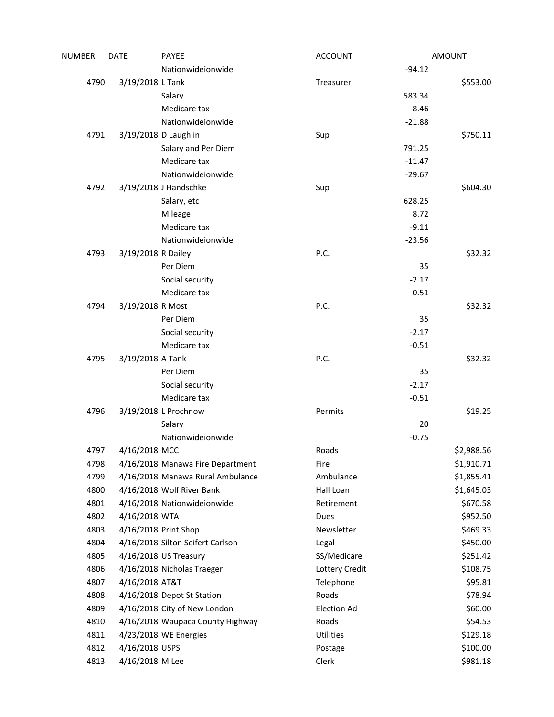| NUMBER | <b>DATE</b>        | PAYEE                            | <b>ACCOUNT</b>     |          | <b>AMOUNT</b> |
|--------|--------------------|----------------------------------|--------------------|----------|---------------|
|        |                    | Nationwideionwide                |                    | $-94.12$ |               |
| 4790   | 3/19/2018 L Tank   |                                  | Treasurer          |          | \$553.00      |
|        |                    | Salary                           |                    | 583.34   |               |
|        |                    | Medicare tax                     |                    | $-8.46$  |               |
|        |                    | Nationwideionwide                |                    | $-21.88$ |               |
| 4791   |                    | 3/19/2018 D Laughlin             | Sup                |          | \$750.11      |
|        |                    | Salary and Per Diem              |                    | 791.25   |               |
|        |                    | Medicare tax                     |                    | $-11.47$ |               |
|        |                    | Nationwideionwide                |                    | $-29.67$ |               |
| 4792   |                    | 3/19/2018 J Handschke            | Sup                |          | \$604.30      |
|        |                    | Salary, etc                      |                    | 628.25   |               |
|        |                    | Mileage                          |                    | 8.72     |               |
|        |                    | Medicare tax                     |                    | $-9.11$  |               |
|        |                    | Nationwideionwide                |                    | $-23.56$ |               |
| 4793   | 3/19/2018 R Dailey |                                  | P.C.               |          | \$32.32       |
|        |                    | Per Diem                         |                    | 35       |               |
|        |                    | Social security                  |                    | $-2.17$  |               |
|        |                    | Medicare tax                     |                    | $-0.51$  |               |
| 4794   | 3/19/2018 R Most   |                                  | P.C.               |          | \$32.32       |
|        |                    | Per Diem                         |                    | 35       |               |
|        |                    | Social security                  |                    | $-2.17$  |               |
|        |                    | Medicare tax                     |                    | $-0.51$  |               |
| 4795   | 3/19/2018 A Tank   |                                  | P.C.               |          | \$32.32       |
|        |                    | Per Diem                         |                    | 35       |               |
|        |                    | Social security                  |                    | $-2.17$  |               |
|        |                    | Medicare tax                     |                    | $-0.51$  |               |
| 4796   |                    | 3/19/2018 L Prochnow             | Permits            |          | \$19.25       |
|        |                    | Salary                           |                    | 20       |               |
|        |                    | Nationwideionwide                |                    | $-0.75$  |               |
| 4797   | 4/16/2018 MCC      |                                  | Roads              |          | \$2,988.56    |
| 4798   |                    | 4/16/2018 Manawa Fire Department | Fire               |          | \$1,910.71    |
| 4799   |                    | 4/16/2018 Manawa Rural Ambulance | Ambulance          |          | \$1,855.41    |
| 4800   |                    | 4/16/2018 Wolf River Bank        | Hall Loan          |          | \$1,645.03    |
| 4801   |                    | 4/16/2018 Nationwideionwide      | Retirement         |          | \$670.58      |
| 4802   | 4/16/2018 WTA      |                                  | Dues               |          | \$952.50      |
| 4803   |                    | 4/16/2018 Print Shop             | Newsletter         |          | \$469.33      |
| 4804   |                    | 4/16/2018 Silton Seifert Carlson | Legal              |          | \$450.00      |
| 4805   |                    | 4/16/2018 US Treasury            | SS/Medicare        |          | \$251.42      |
| 4806   |                    | 4/16/2018 Nicholas Traeger       | Lottery Credit     |          | \$108.75      |
| 4807   | 4/16/2018 AT&T     |                                  | Telephone          |          | \$95.81       |
| 4808   |                    | 4/16/2018 Depot St Station       | Roads              |          | \$78.94       |
| 4809   |                    | 4/16/2018 City of New London     | <b>Election Ad</b> |          | \$60.00       |
| 4810   |                    | 4/16/2018 Waupaca County Highway | Roads              |          | \$54.53       |
| 4811   |                    | 4/23/2018 WE Energies            | <b>Utilities</b>   |          | \$129.18      |
| 4812   | 4/16/2018 USPS     |                                  | Postage            |          | \$100.00      |
| 4813   | 4/16/2018 M Lee    |                                  | Clerk              |          | \$981.18      |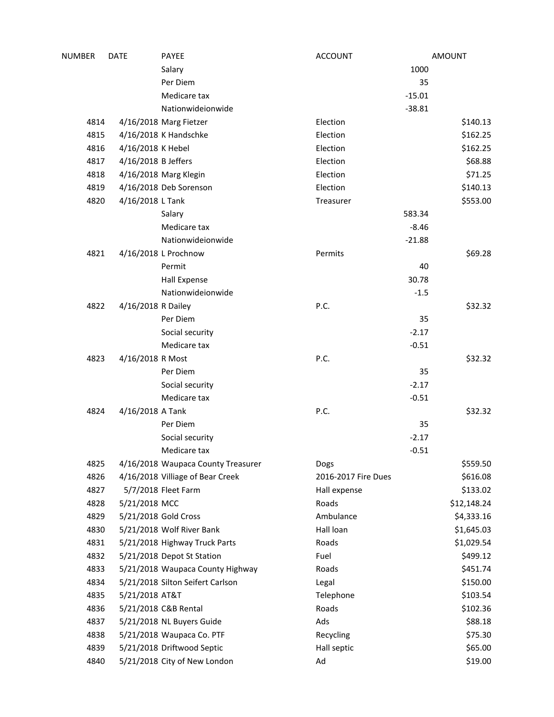| NUMBER       | <b>DATE</b>         | <b>PAYEE</b>                                            | <b>ACCOUNT</b>      |          | <b>AMOUNT</b>      |
|--------------|---------------------|---------------------------------------------------------|---------------------|----------|--------------------|
|              |                     | Salary                                                  |                     | 1000     |                    |
|              |                     | Per Diem                                                |                     | 35       |                    |
|              |                     | Medicare tax                                            |                     | $-15.01$ |                    |
|              |                     | Nationwideionwide                                       |                     | $-38.81$ |                    |
| 4814         |                     | 4/16/2018 Marg Fietzer                                  | Election            |          | \$140.13           |
| 4815         |                     | 4/16/2018 K Handschke                                   | Election            |          | \$162.25           |
| 4816         | 4/16/2018 K Hebel   |                                                         | Election            |          | \$162.25           |
| 4817         | 4/16/2018 B Jeffers |                                                         | Election            |          | \$68.88            |
| 4818         |                     | 4/16/2018 Marg Klegin                                   | Election            |          | \$71.25            |
| 4819         |                     | 4/16/2018 Deb Sorenson                                  | Election            |          | \$140.13           |
| 4820         | 4/16/2018 L Tank    |                                                         | Treasurer           |          | \$553.00           |
|              |                     | Salary                                                  |                     | 583.34   |                    |
|              |                     | Medicare tax                                            |                     | $-8.46$  |                    |
|              |                     | Nationwideionwide                                       |                     | $-21.88$ |                    |
| 4821         |                     | 4/16/2018 L Prochnow                                    | Permits             |          | \$69.28            |
|              |                     | Permit                                                  |                     | 40       |                    |
|              |                     | <b>Hall Expense</b>                                     |                     | 30.78    |                    |
|              |                     | Nationwideionwide                                       |                     | $-1.5$   |                    |
| 4822         | 4/16/2018 R Dailey  |                                                         | P.C.                |          | \$32.32            |
|              |                     | Per Diem                                                |                     | 35       |                    |
|              |                     | Social security                                         |                     | $-2.17$  |                    |
|              |                     | Medicare tax                                            |                     | $-0.51$  |                    |
| 4823         | 4/16/2018 R Most    |                                                         | P.C.                |          | \$32.32            |
|              |                     | Per Diem                                                |                     | 35       |                    |
|              |                     | Social security                                         |                     | $-2.17$  |                    |
|              |                     | Medicare tax                                            |                     | $-0.51$  |                    |
| 4824         | 4/16/2018 A Tank    |                                                         | P.C.                |          | \$32.32            |
|              |                     | Per Diem                                                |                     | 35       |                    |
|              |                     | Social security                                         |                     | $-2.17$  |                    |
|              |                     | Medicare tax                                            |                     | $-0.51$  |                    |
| 4825         |                     | 4/16/2018 Waupaca County Treasurer                      | Dogs                |          | \$559.50           |
| 4826         |                     | 4/16/2018 Villiage of Bear Creek                        | 2016-2017 Fire Dues |          | \$616.08           |
| 4827         |                     | 5/7/2018 Fleet Farm                                     | Hall expense        |          | \$133.02           |
| 4828         | 5/21/2018 MCC       |                                                         | Roads               |          | \$12,148.24        |
| 4829         |                     | 5/21/2018 Gold Cross                                    | Ambulance           |          | \$4,333.16         |
| 4830         |                     | 5/21/2018 Wolf River Bank                               | Hall loan           |          | \$1,645.03         |
| 4831         |                     | 5/21/2018 Highway Truck Parts                           | Roads               |          | \$1,029.54         |
| 4832         |                     | 5/21/2018 Depot St Station                              | Fuel                |          | \$499.12           |
| 4833         |                     | 5/21/2018 Waupaca County Highway                        | Roads               |          | \$451.74           |
| 4834         |                     | 5/21/2018 Silton Seifert Carlson                        | Legal               |          | \$150.00           |
| 4835         | 5/21/2018 AT&T      | 5/21/2018 C&B Rental                                    | Telephone<br>Roads  |          | \$103.54           |
| 4836         |                     |                                                         | Ads                 |          | \$102.36           |
| 4837<br>4838 |                     | 5/21/2018 NL Buyers Guide                               |                     |          | \$88.18            |
| 4839         |                     | 5/21/2018 Waupaca Co. PTF<br>5/21/2018 Driftwood Septic | Recycling           |          | \$75.30<br>\$65.00 |
| 4840         |                     |                                                         | Hall septic         |          |                    |
|              |                     | 5/21/2018 City of New London                            | Ad                  |          | \$19.00            |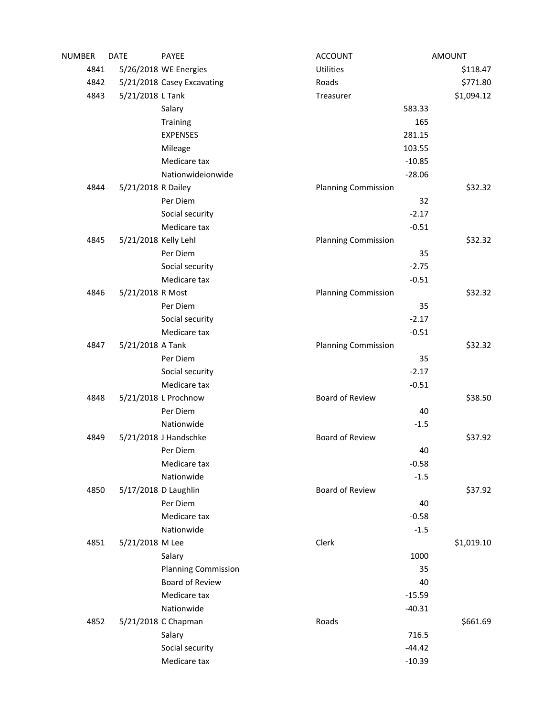| NUMBER | <b>DATE</b>          | PAYEE                                                | <b>ACCOUNT</b>             |          | <b>AMOUNT</b> |
|--------|----------------------|------------------------------------------------------|----------------------------|----------|---------------|
| 4841   |                      | 5/26/2018 WE Energies                                | Utilities                  |          | \$118.47      |
| 4842   |                      | 5/21/2018 Casey Excavating                           | Roads                      |          | \$771.80      |
| 4843   | 5/21/2018 L Tank     |                                                      | Treasurer                  |          | \$1,094.12    |
|        |                      | Salary                                               |                            | 583.33   |               |
|        |                      | Training                                             |                            | 165      |               |
|        |                      | <b>EXPENSES</b>                                      |                            | 281.15   |               |
|        |                      | Mileage                                              |                            | 103.55   |               |
|        |                      | Medicare tax                                         |                            | $-10.85$ |               |
|        |                      | Nationwideionwide                                    |                            | $-28.06$ |               |
| 4844   | 5/21/2018 R Dailey   |                                                      | <b>Planning Commission</b> |          | \$32.32       |
|        |                      | Per Diem                                             |                            | 32       |               |
|        |                      | Social security                                      |                            | $-2.17$  |               |
|        |                      | Medicare tax                                         |                            | $-0.51$  |               |
| 4845   | 5/21/2018 Kelly Lehl |                                                      | <b>Planning Commission</b> |          | \$32.32       |
|        |                      | Per Diem                                             |                            | 35       |               |
|        |                      | Social security                                      |                            | $-2.75$  |               |
|        |                      | Medicare tax                                         |                            | $-0.51$  |               |
| 4846   | 5/21/2018 R Most     |                                                      | <b>Planning Commission</b> |          | \$32.32       |
|        |                      | Per Diem                                             |                            | 35       |               |
|        |                      | Social security                                      |                            | $-2.17$  |               |
|        |                      | Medicare tax                                         |                            | $-0.51$  |               |
| 4847   | 5/21/2018 A Tank     |                                                      | <b>Planning Commission</b> |          | \$32.32       |
|        |                      | Per Diem                                             |                            | 35       |               |
|        |                      | Social security                                      |                            | $-2.17$  |               |
|        |                      | Medicare tax                                         |                            | $-0.51$  |               |
| 4848   |                      | 5/21/2018 L Prochnow                                 | Board of Review            |          | \$38.50       |
|        |                      | Per Diem                                             |                            | 40       |               |
|        |                      | Nationwide                                           |                            | $-1.5$   |               |
| 4849   |                      | 5/21/2018 J Handschke                                | Board of Review            |          | \$37.92       |
|        |                      | Per Diem                                             |                            | 40       |               |
|        |                      | Medicare tax                                         |                            | $-0.58$  |               |
|        |                      | Nationwide                                           |                            | $-1.5$   |               |
| 4850   | 5/17/2018 D Laughlin |                                                      | Board of Review            |          | \$37.92       |
|        |                      | Per Diem                                             |                            | 40       |               |
|        |                      | Medicare tax                                         |                            | $-0.58$  |               |
|        |                      | Nationwide                                           | Clerk                      | $-1.5$   |               |
| 4851   | 5/21/2018 M Lee      |                                                      |                            | 1000     | \$1,019.10    |
|        |                      | Salary                                               |                            | 35       |               |
|        |                      | <b>Planning Commission</b><br><b>Board of Review</b> |                            | 40       |               |
|        |                      | Medicare tax                                         |                            | $-15.59$ |               |
|        |                      | Nationwide                                           |                            | $-40.31$ |               |
| 4852   |                      | 5/21/2018 C Chapman                                  | Roads                      |          | \$661.69      |
|        |                      | Salary                                               |                            | 716.5    |               |
|        |                      | Social security                                      |                            | $-44.42$ |               |
|        |                      | Medicare tax                                         |                            | $-10.39$ |               |
|        |                      |                                                      |                            |          |               |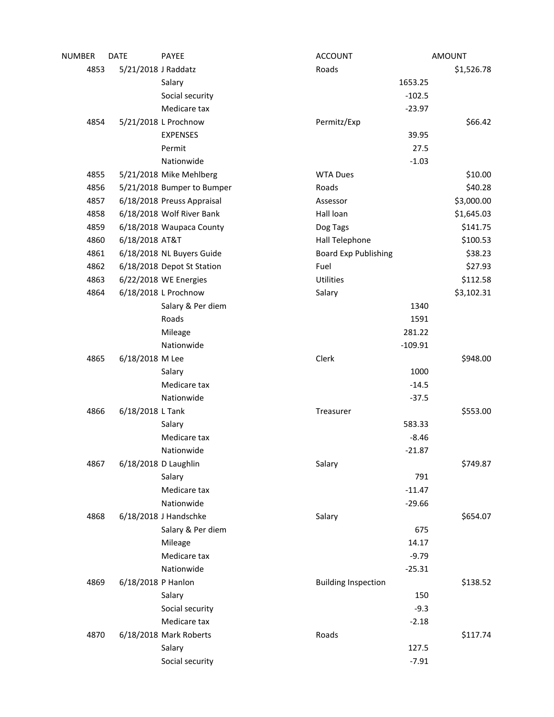| NUMBER | <b>DATE</b>          | <b>PAYEE</b>               | <b>ACCOUNT</b>              |           | <b>AMOUNT</b> |
|--------|----------------------|----------------------------|-----------------------------|-----------|---------------|
| 4853   | 5/21/2018 J Raddatz  |                            | Roads                       |           | \$1,526.78    |
|        |                      | Salary                     |                             | 1653.25   |               |
|        |                      | Social security            |                             | $-102.5$  |               |
|        |                      | Medicare tax               |                             | $-23.97$  |               |
| 4854   |                      | 5/21/2018 L Prochnow       | Permitz/Exp                 |           | \$66.42       |
|        |                      | <b>EXPENSES</b>            |                             | 39.95     |               |
|        |                      | Permit                     |                             | 27.5      |               |
|        |                      | Nationwide                 |                             | $-1.03$   |               |
| 4855   |                      | 5/21/2018 Mike Mehlberg    | <b>WTA Dues</b>             |           | \$10.00       |
| 4856   |                      | 5/21/2018 Bumper to Bumper | Roads                       |           | \$40.28       |
| 4857   |                      | 6/18/2018 Preuss Appraisal | Assessor                    |           | \$3,000.00    |
| 4858   |                      | 6/18/2018 Wolf River Bank  | Hall loan                   |           | \$1,645.03    |
| 4859   |                      | 6/18/2018 Waupaca County   | Dog Tags                    |           | \$141.75      |
| 4860   | 6/18/2018 AT&T       |                            | Hall Telephone              |           | \$100.53      |
| 4861   |                      | 6/18/2018 NL Buyers Guide  | <b>Board Exp Publishing</b> |           | \$38.23       |
| 4862   |                      | 6/18/2018 Depot St Station | Fuel                        |           | \$27.93       |
| 4863   |                      | 6/22/2018 WE Energies      | Utilities                   |           | \$112.58      |
| 4864   |                      | 6/18/2018 L Prochnow       | Salary                      |           | \$3,102.31    |
|        |                      | Salary & Per diem          |                             | 1340      |               |
|        |                      | Roads                      |                             | 1591      |               |
|        |                      | Mileage                    |                             | 281.22    |               |
|        |                      | Nationwide                 |                             | $-109.91$ |               |
| 4865   | 6/18/2018 M Lee      |                            | Clerk                       |           | \$948.00      |
|        |                      | Salary                     |                             | 1000      |               |
|        |                      | Medicare tax               |                             | $-14.5$   |               |
|        |                      | Nationwide                 |                             | $-37.5$   |               |
| 4866   | 6/18/2018 L Tank     |                            | Treasurer                   |           | \$553.00      |
|        |                      | Salary                     |                             | 583.33    |               |
|        |                      | Medicare tax               |                             | $-8.46$   |               |
|        |                      | Nationwide                 |                             | $-21.87$  |               |
| 4867   | 6/18/2018 D Laughlin |                            | Salary                      |           | \$749.87      |
|        |                      | Salary                     |                             | 791       |               |
|        |                      | Medicare tax               |                             | $-11.47$  |               |
|        |                      | Nationwide                 |                             | $-29.66$  |               |
| 4868   |                      | 6/18/2018 J Handschke      | Salary                      |           | \$654.07      |
|        |                      | Salary & Per diem          |                             | 675       |               |
|        |                      | Mileage                    |                             | 14.17     |               |
|        |                      | Medicare tax               |                             | $-9.79$   |               |
|        |                      | Nationwide                 |                             | $-25.31$  |               |
| 4869   | 6/18/2018 P Hanlon   |                            | <b>Building Inspection</b>  |           | \$138.52      |
|        |                      | Salary                     |                             | 150       |               |
|        |                      | Social security            |                             | $-9.3$    |               |
|        |                      | Medicare tax               |                             | $-2.18$   |               |
| 4870   |                      | 6/18/2018 Mark Roberts     | Roads                       |           | \$117.74      |
|        |                      | Salary                     |                             | 127.5     |               |
|        |                      | Social security            |                             | $-7.91$   |               |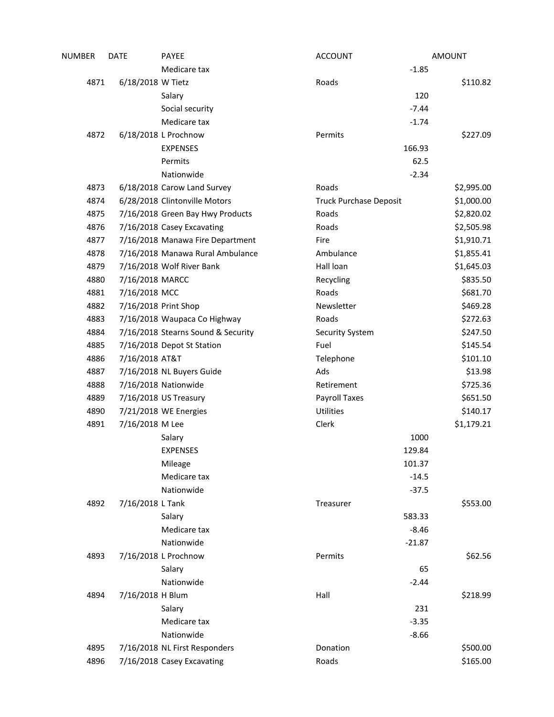| NUMBER | <b>DATE</b>       | <b>PAYEE</b>                       | <b>ACCOUNT</b>                |          | <b>AMOUNT</b> |
|--------|-------------------|------------------------------------|-------------------------------|----------|---------------|
|        |                   | Medicare tax                       |                               | $-1.85$  |               |
| 4871   | 6/18/2018 W Tietz |                                    | Roads                         |          | \$110.82      |
|        |                   | Salary                             |                               | 120      |               |
|        |                   | Social security                    |                               | $-7.44$  |               |
|        |                   | Medicare tax                       |                               | $-1.74$  |               |
| 4872   |                   | 6/18/2018 L Prochnow               | Permits                       |          | \$227.09      |
|        |                   | <b>EXPENSES</b>                    |                               | 166.93   |               |
|        |                   | Permits                            |                               | 62.5     |               |
|        |                   | Nationwide                         |                               | $-2.34$  |               |
| 4873   |                   | 6/18/2018 Carow Land Survey        | Roads                         |          | \$2,995.00    |
| 4874   |                   | 6/28/2018 Clintonville Motors      | <b>Truck Purchase Deposit</b> |          | \$1,000.00    |
| 4875   |                   | 7/16/2018 Green Bay Hwy Products   | Roads                         |          | \$2,820.02    |
| 4876   |                   | 7/16/2018 Casey Excavating         | Roads                         |          | \$2,505.98    |
| 4877   |                   | 7/16/2018 Manawa Fire Department   | Fire                          |          | \$1,910.71    |
| 4878   |                   | 7/16/2018 Manawa Rural Ambulance   | Ambulance                     |          | \$1,855.41    |
| 4879   |                   | 7/16/2018 Wolf River Bank          | Hall loan                     |          | \$1,645.03    |
| 4880   | 7/16/2018 MARCC   |                                    | Recycling                     |          | \$835.50      |
| 4881   | 7/16/2018 MCC     |                                    | Roads                         |          | \$681.70      |
| 4882   |                   | 7/16/2018 Print Shop               | Newsletter                    |          | \$469.28      |
| 4883   |                   | 7/16/2018 Waupaca Co Highway       | Roads                         |          | \$272.63      |
| 4884   |                   | 7/16/2018 Stearns Sound & Security | <b>Security System</b>        |          | \$247.50      |
| 4885   |                   | 7/16/2018 Depot St Station         | Fuel                          |          | \$145.54      |
| 4886   | 7/16/2018 AT&T    |                                    | Telephone                     |          | \$101.10      |
| 4887   |                   | 7/16/2018 NL Buyers Guide          | Ads                           |          | \$13.98       |
| 4888   |                   | 7/16/2018 Nationwide               | Retirement                    |          | \$725.36      |
| 4889   |                   | 7/16/2018 US Treasury              | Payroll Taxes                 |          | \$651.50      |
| 4890   |                   | 7/21/2018 WE Energies              | Utilities                     |          | \$140.17      |
| 4891   | 7/16/2018 M Lee   |                                    | Clerk                         |          | \$1,179.21    |
|        |                   | Salary                             |                               | 1000     |               |
|        |                   | <b>EXPENSES</b>                    |                               | 129.84   |               |
|        |                   | Mileage                            |                               | 101.37   |               |
|        |                   | Medicare tax                       |                               | $-14.5$  |               |
|        |                   | Nationwide                         |                               | $-37.5$  |               |
| 4892   | 7/16/2018 L Tank  |                                    | Treasurer                     |          | \$553.00      |
|        |                   | Salary                             |                               | 583.33   |               |
|        |                   | Medicare tax                       |                               | $-8.46$  |               |
|        |                   | Nationwide                         |                               | $-21.87$ |               |
| 4893   |                   | 7/16/2018 L Prochnow               | Permits                       |          | \$62.56       |
|        |                   | Salary                             |                               | 65       |               |
|        |                   | Nationwide                         |                               | $-2.44$  |               |
| 4894   | 7/16/2018 H Blum  |                                    | Hall                          |          | \$218.99      |
|        |                   | Salary                             |                               | 231      |               |
|        |                   | Medicare tax                       |                               | $-3.35$  |               |
|        |                   | Nationwide                         |                               | $-8.66$  |               |
| 4895   |                   | 7/16/2018 NL First Responders      | Donation                      |          | \$500.00      |
| 4896   |                   | 7/16/2018 Casey Excavating         | Roads                         |          | \$165.00      |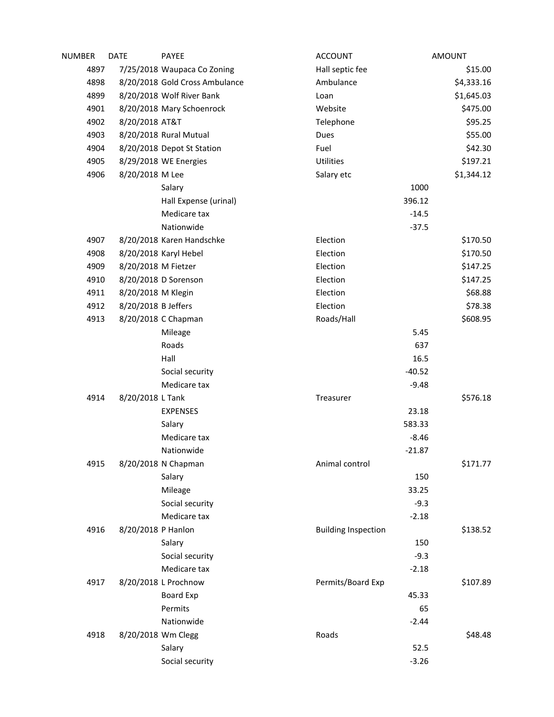| NUMBER | <b>DATE</b>         | <b>PAYEE</b>                   | <b>ACCOUNT</b>             |              | <b>AMOUNT</b> |
|--------|---------------------|--------------------------------|----------------------------|--------------|---------------|
| 4897   |                     | 7/25/2018 Waupaca Co Zoning    | Hall septic fee            |              | \$15.00       |
| 4898   |                     | 8/20/2018 Gold Cross Ambulance | Ambulance                  |              | \$4,333.16    |
| 4899   |                     | 8/20/2018 Wolf River Bank      | Loan                       |              | \$1,645.03    |
| 4901   |                     | 8/20/2018 Mary Schoenrock      | Website                    |              | \$475.00      |
| 4902   | 8/20/2018 AT&T      |                                | Telephone                  |              | \$95.25       |
| 4903   |                     | 8/20/2018 Rural Mutual         | Dues                       |              | \$55.00       |
| 4904   |                     | 8/20/2018 Depot St Station     | Fuel                       |              | \$42.30       |
| 4905   |                     | 8/29/2018 WE Energies          | Utilities                  |              | \$197.21      |
| 4906   | 8/20/2018 M Lee     |                                | Salary etc                 |              | \$1,344.12    |
|        |                     | Salary                         |                            | 1000         |               |
|        |                     | Hall Expense (urinal)          |                            | 396.12       |               |
|        |                     | Medicare tax                   |                            | $-14.5$      |               |
|        |                     | Nationwide                     |                            | $-37.5$      |               |
| 4907   |                     | 8/20/2018 Karen Handschke      | Election                   |              | \$170.50      |
| 4908   |                     | 8/20/2018 Karyl Hebel          | Election                   |              | \$170.50      |
| 4909   | 8/20/2018 M Fietzer |                                | Election                   |              | \$147.25      |
| 4910   |                     | 8/20/2018 D Sorenson           | Election                   |              | \$147.25      |
| 4911   | 8/20/2018 M Klegin  |                                | Election                   |              | \$68.88       |
| 4912   | 8/20/2018 B Jeffers |                                | Election                   |              | \$78.38       |
| 4913   |                     | 8/20/2018 C Chapman            | Roads/Hall                 |              | \$608.95      |
|        |                     | Mileage                        |                            | 5.45         |               |
|        |                     | Roads                          |                            | 637          |               |
|        |                     | Hall                           |                            | 16.5         |               |
|        |                     | Social security                |                            | $-40.52$     |               |
|        |                     | Medicare tax                   |                            | $-9.48$      |               |
| 4914   | 8/20/2018 L Tank    |                                | Treasurer                  |              | \$576.18      |
|        |                     | <b>EXPENSES</b>                |                            | 23.18        |               |
|        |                     | Salary                         |                            | 583.33       |               |
|        |                     | Medicare tax                   |                            | $-8.46$      |               |
|        |                     | Nationwide                     |                            | $-21.87$     |               |
| 4915   |                     | 8/20/2018 N Chapman<br>Salary  | Animal control             |              | \$171.77      |
|        |                     | Mileage                        |                            | 150<br>33.25 |               |
|        |                     | Social security                |                            | $-9.3$       |               |
|        |                     | Medicare tax                   |                            | $-2.18$      |               |
| 4916   | 8/20/2018 P Hanlon  |                                | <b>Building Inspection</b> |              | \$138.52      |
|        |                     | Salary                         |                            | 150          |               |
|        |                     | Social security                |                            | $-9.3$       |               |
|        |                     | Medicare tax                   |                            | $-2.18$      |               |
| 4917   |                     | 8/20/2018 L Prochnow           | Permits/Board Exp          |              | \$107.89      |
|        |                     | <b>Board Exp</b>               |                            | 45.33        |               |
|        |                     | Permits                        |                            | 65           |               |
|        |                     | Nationwide                     |                            | $-2.44$      |               |
| 4918   | 8/20/2018 Wm Clegg  |                                | Roads                      |              | \$48.48       |
|        |                     | Salary                         |                            | 52.5         |               |
|        |                     | Social security                |                            | $-3.26$      |               |
|        |                     |                                |                            |              |               |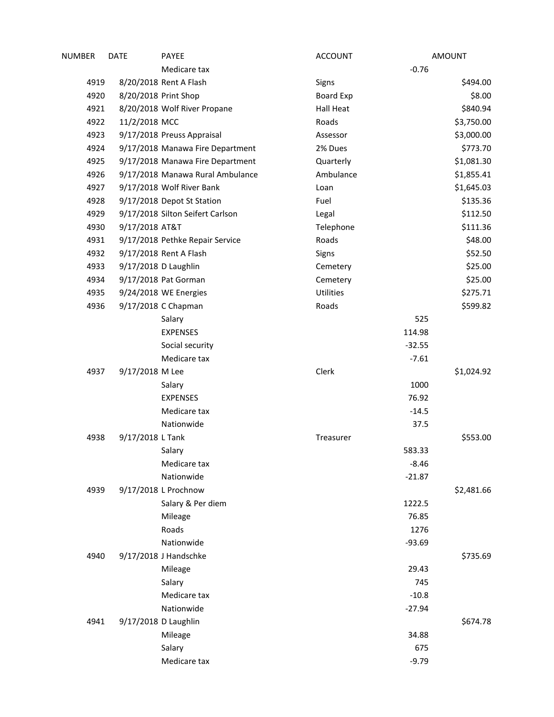| NUMBER | <b>DATE</b>          | <b>PAYEE</b>                     | <b>ACCOUNT</b> |          | <b>AMOUNT</b> |
|--------|----------------------|----------------------------------|----------------|----------|---------------|
|        |                      | Medicare tax                     |                | $-0.76$  |               |
| 4919   |                      | 8/20/2018 Rent A Flash           | Signs          |          | \$494.00      |
| 4920   | 8/20/2018 Print Shop |                                  | Board Exp      |          | \$8.00        |
| 4921   |                      | 8/20/2018 Wolf River Propane     | Hall Heat      |          | \$840.94      |
| 4922   | 11/2/2018 MCC        |                                  | Roads          |          | \$3,750.00    |
| 4923   |                      | 9/17/2018 Preuss Appraisal       | Assessor       |          | \$3,000.00    |
| 4924   |                      | 9/17/2018 Manawa Fire Department | 2% Dues        |          | \$773.70      |
| 4925   |                      | 9/17/2018 Manawa Fire Department | Quarterly      |          | \$1,081.30    |
| 4926   |                      | 9/17/2018 Manawa Rural Ambulance | Ambulance      |          | \$1,855.41    |
| 4927   |                      | 9/17/2018 Wolf River Bank        | Loan           |          | \$1,645.03    |
| 4928   |                      | 9/17/2018 Depot St Station       | Fuel           |          | \$135.36      |
| 4929   |                      | 9/17/2018 Silton Seifert Carlson | Legal          |          | \$112.50      |
| 4930   | 9/17/2018 AT&T       |                                  | Telephone      |          | \$111.36      |
| 4931   |                      | 9/17/2018 Pethke Repair Service  | Roads          |          | \$48.00       |
| 4932   |                      | 9/17/2018 Rent A Flash           | Signs          |          | \$52.50       |
| 4933   | 9/17/2018 D Laughlin |                                  | Cemetery       |          | \$25.00       |
| 4934   |                      | 9/17/2018 Pat Gorman             | Cemetery       |          | \$25.00       |
| 4935   |                      | 9/24/2018 WE Energies            | Utilities      |          | \$275.71      |
| 4936   |                      | 9/17/2018 C Chapman              | Roads          |          | \$599.82      |
|        |                      | Salary                           |                | 525      |               |
|        |                      | <b>EXPENSES</b>                  |                | 114.98   |               |
|        |                      | Social security                  |                | $-32.55$ |               |
|        |                      | Medicare tax                     |                | $-7.61$  |               |
| 4937   | 9/17/2018 M Lee      |                                  | Clerk          |          | \$1,024.92    |
|        |                      | Salary                           |                | 1000     |               |
|        |                      | <b>EXPENSES</b>                  |                | 76.92    |               |
|        |                      | Medicare tax                     |                | $-14.5$  |               |
|        |                      | Nationwide                       |                | 37.5     |               |
| 4938   | 9/17/2018 L Tank     |                                  | Treasurer      |          | \$553.00      |
|        |                      | Salary                           |                | 583.33   |               |
|        |                      | Medicare tax                     |                | $-8.46$  |               |
|        |                      | Nationwide                       |                | $-21.87$ |               |
| 4939   |                      | 9/17/2018 L Prochnow             |                |          | \$2,481.66    |
|        |                      | Salary & Per diem                |                | 1222.5   |               |
|        |                      | Mileage                          |                | 76.85    |               |
|        |                      | Roads                            |                | 1276     |               |
|        |                      | Nationwide                       |                | $-93.69$ |               |
| 4940   |                      | 9/17/2018 J Handschke            |                |          | \$735.69      |
|        |                      | Mileage                          |                | 29.43    |               |
|        |                      | Salary                           |                | 745      |               |
|        |                      | Medicare tax                     |                | $-10.8$  |               |
|        |                      | Nationwide                       |                | $-27.94$ |               |
| 4941   | 9/17/2018 D Laughlin |                                  |                |          | \$674.78      |
|        |                      | Mileage                          |                | 34.88    |               |
|        |                      | Salary                           |                | 675      |               |
|        |                      | Medicare tax                     |                | $-9.79$  |               |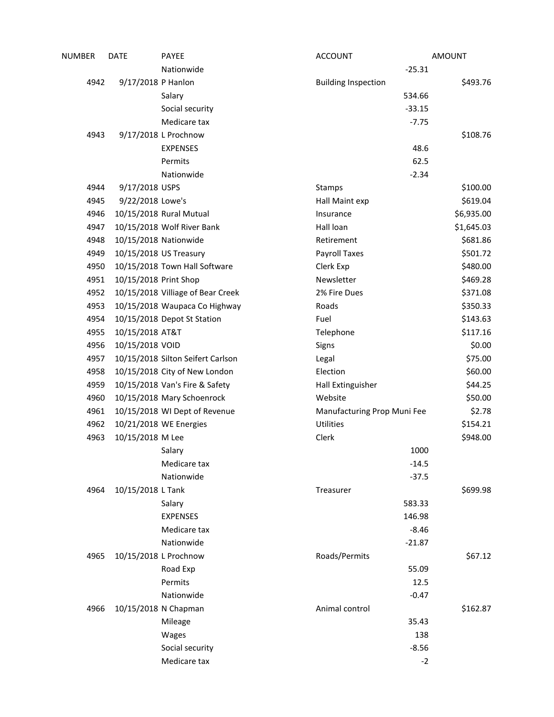| NUMBER | <b>DATE</b>           | <b>PAYEE</b>                      | <b>ACCOUNT</b>              | <b>AMOUNT</b> |
|--------|-----------------------|-----------------------------------|-----------------------------|---------------|
|        |                       | Nationwide                        | $-25.31$                    |               |
| 4942   | 9/17/2018 P Hanlon    |                                   | <b>Building Inspection</b>  | \$493.76      |
|        |                       | Salary                            | 534.66                      |               |
|        |                       | Social security                   | $-33.15$                    |               |
|        |                       | Medicare tax                      | $-7.75$                     |               |
| 4943   |                       | 9/17/2018 L Prochnow              |                             | \$108.76      |
|        |                       | <b>EXPENSES</b>                   | 48.6                        |               |
|        |                       | Permits                           | 62.5                        |               |
|        |                       | Nationwide                        | $-2.34$                     |               |
| 4944   | 9/17/2018 USPS        |                                   | Stamps                      | \$100.00      |
| 4945   | 9/22/2018 Lowe's      |                                   | Hall Maint exp              | \$619.04      |
| 4946   |                       | 10/15/2018 Rural Mutual           | Insurance                   | \$6,935.00    |
| 4947   |                       | 10/15/2018 Wolf River Bank        | Hall loan                   | \$1,645.03    |
| 4948   | 10/15/2018 Nationwide |                                   | Retirement                  | \$681.86      |
| 4949   |                       | 10/15/2018 US Treasury            | Payroll Taxes               | \$501.72      |
| 4950   |                       | 10/15/2018 Town Hall Software     | Clerk Exp                   | \$480.00      |
| 4951   | 10/15/2018 Print Shop |                                   | Newsletter                  | \$469.28      |
| 4952   |                       | 10/15/2018 Villiage of Bear Creek | 2% Fire Dues                | \$371.08      |
| 4953   |                       | 10/15/2018 Waupaca Co Highway     | Roads                       | \$350.33      |
| 4954   |                       | 10/15/2018 Depot St Station       | Fuel                        | \$143.63      |
| 4955   | 10/15/2018 AT&T       |                                   | Telephone                   | \$117.16      |
| 4956   | 10/15/2018 VOID       |                                   | Signs                       | \$0.00        |
| 4957   |                       | 10/15/2018 Silton Seifert Carlson | Legal                       | \$75.00       |
| 4958   |                       | 10/15/2018 City of New London     | Election                    | \$60.00       |
| 4959   |                       | 10/15/2018 Van's Fire & Safety    | Hall Extinguisher           | \$44.25       |
| 4960   |                       | 10/15/2018 Mary Schoenrock        | Website                     | \$50.00       |
| 4961   |                       | 10/15/2018 WI Dept of Revenue     | Manufacturing Prop Muni Fee | \$2.78        |
| 4962   |                       | 10/21/2018 WE Energies            | Utilities                   | \$154.21      |
| 4963   | 10/15/2018 M Lee      |                                   | Clerk                       | \$948.00      |
|        |                       | Salary                            | 1000                        |               |
|        |                       | Medicare tax                      | $-14.5$                     |               |
|        |                       | Nationwide                        | $-37.5$                     |               |
| 4964   | 10/15/2018 L Tank     |                                   | Treasurer                   | \$699.98      |
|        |                       | Salary                            | 583.33                      |               |
|        |                       | <b>EXPENSES</b>                   | 146.98                      |               |
|        |                       | Medicare tax                      | $-8.46$                     |               |
|        |                       | Nationwide                        | $-21.87$                    |               |
| 4965   | 10/15/2018 L Prochnow |                                   | Roads/Permits               | \$67.12       |
|        |                       | Road Exp                          | 55.09                       |               |
|        |                       | Permits                           | 12.5                        |               |
|        |                       | Nationwide                        | $-0.47$                     |               |
| 4966   | 10/15/2018 N Chapman  |                                   | Animal control              | \$162.87      |
|        |                       | Mileage                           | 35.43                       |               |
|        |                       | Wages                             | 138                         |               |
|        |                       | Social security                   | $-8.56$                     |               |
|        |                       | Medicare tax                      | $-2$                        |               |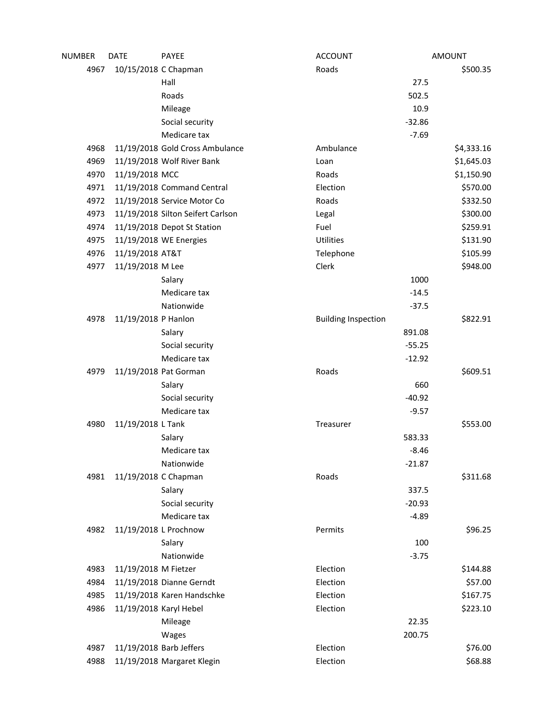| NUMBER | <b>DATE</b>            | <b>PAYEE</b>                      | <b>ACCOUNT</b>             |          | <b>AMOUNT</b> |
|--------|------------------------|-----------------------------------|----------------------------|----------|---------------|
| 4967   | 10/15/2018 C Chapman   |                                   | Roads                      |          | \$500.35      |
|        |                        | Hall                              |                            | 27.5     |               |
|        |                        | Roads                             |                            | 502.5    |               |
|        |                        | Mileage                           |                            | 10.9     |               |
|        |                        | Social security                   |                            | $-32.86$ |               |
|        |                        | Medicare tax                      |                            | $-7.69$  |               |
| 4968   |                        | 11/19/2018 Gold Cross Ambulance   | Ambulance                  |          | \$4,333.16    |
| 4969   |                        | 11/19/2018 Wolf River Bank        | Loan                       |          | \$1,645.03    |
| 4970   | 11/19/2018 MCC         |                                   | Roads                      |          | \$1,150.90    |
| 4971   |                        | 11/19/2018 Command Central        | Election                   |          | \$570.00      |
| 4972   |                        | 11/19/2018 Service Motor Co       | Roads                      |          | \$332.50      |
| 4973   |                        | 11/19/2018 Silton Seifert Carlson | Legal                      |          | \$300.00      |
| 4974   |                        | 11/19/2018 Depot St Station       | Fuel                       |          | \$259.91      |
| 4975   |                        | 11/19/2018 WE Energies            | <b>Utilities</b>           |          | \$131.90      |
| 4976   | 11/19/2018 AT&T        |                                   | Telephone                  |          | \$105.99      |
| 4977   | 11/19/2018 M Lee       |                                   | Clerk                      |          | \$948.00      |
|        |                        | Salary                            |                            | 1000     |               |
|        |                        | Medicare tax                      |                            | $-14.5$  |               |
|        |                        | Nationwide                        |                            | $-37.5$  |               |
| 4978   | 11/19/2018 P Hanlon    |                                   | <b>Building Inspection</b> |          | \$822.91      |
|        |                        | Salary                            |                            | 891.08   |               |
|        |                        | Social security                   |                            | $-55.25$ |               |
|        |                        | Medicare tax                      |                            | $-12.92$ |               |
| 4979   |                        | 11/19/2018 Pat Gorman             | Roads                      |          | \$609.51      |
|        |                        | Salary                            |                            | 660      |               |
|        |                        | Social security                   |                            | $-40.92$ |               |
|        |                        | Medicare tax                      |                            | $-9.57$  |               |
| 4980   | 11/19/2018 L Tank      |                                   | Treasurer                  |          | \$553.00      |
|        |                        | Salary                            |                            | 583.33   |               |
|        |                        | Medicare tax                      |                            | $-8.46$  |               |
|        |                        | Nationwide                        |                            | $-21.87$ |               |
| 4981   | 11/19/2018 C Chapman   |                                   | Roads                      |          | \$311.68      |
|        |                        | Salary                            |                            | 337.5    |               |
|        |                        | Social security                   |                            | $-20.93$ |               |
|        |                        | Medicare tax                      |                            | $-4.89$  |               |
| 4982   |                        | 11/19/2018 L Prochnow             | Permits                    |          | \$96.25       |
|        |                        | Salary                            |                            | 100      |               |
|        |                        | Nationwide                        |                            | $-3.75$  |               |
| 4983   | 11/19/2018 M Fietzer   |                                   | Election                   |          | \$144.88      |
| 4984   |                        | 11/19/2018 Dianne Gerndt          | Election                   |          | \$57.00       |
| 4985   |                        | 11/19/2018 Karen Handschke        | Election                   |          | \$167.75      |
| 4986   | 11/19/2018 Karyl Hebel |                                   | Election                   |          | \$223.10      |
|        |                        | Mileage                           |                            | 22.35    |               |
|        |                        | Wages                             |                            | 200.75   |               |
| 4987   |                        | 11/19/2018 Barb Jeffers           | Election                   |          | \$76.00       |
| 4988   |                        | 11/19/2018 Margaret Klegin        | Election                   |          | \$68.88       |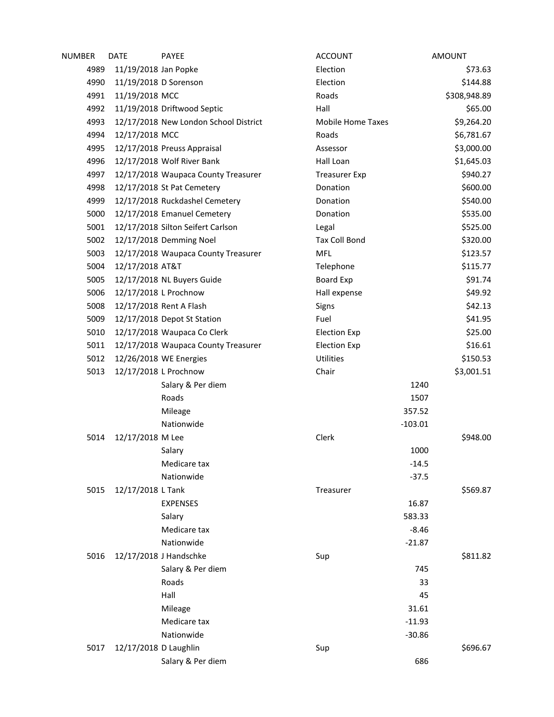| NUMBER | <b>DATE</b>           | <b>PAYEE</b>                          | <b>ACCOUNT</b>           | <b>AMOUNT</b> |
|--------|-----------------------|---------------------------------------|--------------------------|---------------|
| 4989   | 11/19/2018 Jan Popke  |                                       | Election                 | \$73.63       |
| 4990   | 11/19/2018 D Sorenson |                                       | Election                 | \$144.88      |
| 4991   | 11/19/2018 MCC        |                                       | Roads                    | \$308,948.89  |
| 4992   |                       | 11/19/2018 Driftwood Septic           | Hall                     | \$65.00       |
| 4993   |                       | 12/17/2018 New London School District | <b>Mobile Home Taxes</b> | \$9,264.20    |
| 4994   | 12/17/2018 MCC        |                                       | Roads                    | \$6,781.67    |
| 4995   |                       | 12/17/2018 Preuss Appraisal           | Assessor                 | \$3,000.00    |
| 4996   |                       | 12/17/2018 Wolf River Bank            | Hall Loan                | \$1,645.03    |
| 4997   |                       | 12/17/2018 Waupaca County Treasurer   | <b>Treasurer Exp</b>     | \$940.27      |
| 4998   |                       | 12/17/2018 St Pat Cemetery            | Donation                 | \$600.00      |
| 4999   |                       | 12/17/2018 Ruckdashel Cemetery        | Donation                 | \$540.00      |
| 5000   |                       | 12/17/2018 Emanuel Cemetery           | Donation                 | \$535.00      |
| 5001   |                       | 12/17/2018 Silton Seifert Carlson     | Legal                    | \$525.00      |
| 5002   |                       | 12/17/2018 Demming Noel               | <b>Tax Coll Bond</b>     | \$320.00      |
| 5003   |                       | 12/17/2018 Waupaca County Treasurer   | <b>MFL</b>               | \$123.57      |
| 5004   | 12/17/2018 AT&T       |                                       | Telephone                | \$115.77      |
| 5005   |                       | 12/17/2018 NL Buyers Guide            | Board Exp                | \$91.74       |
| 5006   |                       | 12/17/2018 L Prochnow                 | Hall expense             | \$49.92       |
| 5008   |                       | 12/17/2018 Rent A Flash               | Signs                    | \$42.13       |
| 5009   |                       | 12/17/2018 Depot St Station           | Fuel                     | \$41.95       |
| 5010   |                       | 12/17/2018 Waupaca Co Clerk           | <b>Election Exp</b>      | \$25.00       |
| 5011   |                       | 12/17/2018 Waupaca County Treasurer   | <b>Election Exp</b>      | \$16.61       |
| 5012   |                       | 12/26/2018 WE Energies                | Utilities                | \$150.53      |
| 5013   |                       | 12/17/2018 L Prochnow                 | Chair                    | \$3,001.51    |
|        |                       | Salary & Per diem                     |                          | 1240          |
|        |                       | Roads                                 |                          | 1507          |
|        |                       | Mileage                               |                          | 357.52        |
|        |                       | Nationwide                            |                          | $-103.01$     |
| 5014   | 12/17/2018 M Lee      |                                       | Clerk                    | \$948.00      |
|        |                       | Salary                                |                          | 1000          |
|        |                       | Medicare tax                          |                          | $-14.5$       |
|        |                       | Nationwide                            |                          | $-37.5$       |
| 5015   | 12/17/2018 L Tank     |                                       | Treasurer                | \$569.87      |
|        |                       | <b>EXPENSES</b>                       |                          | 16.87         |
|        |                       | Salary                                |                          | 583.33        |
|        |                       | Medicare tax                          |                          | $-8.46$       |
|        |                       | Nationwide                            |                          | $-21.87$      |
| 5016   |                       | 12/17/2018 J Handschke                | Sup                      | \$811.82      |
|        |                       | Salary & Per diem                     |                          | 745           |
|        |                       | Roads                                 |                          | 33            |
|        |                       | Hall                                  |                          | 45            |
|        |                       | Mileage                               |                          | 31.61         |
|        |                       | Medicare tax                          |                          | $-11.93$      |
|        |                       | Nationwide                            |                          | $-30.86$      |
| 5017   | 12/17/2018 D Laughlin |                                       | Sup                      | \$696.67      |
|        |                       | Salary & Per diem                     |                          | 686           |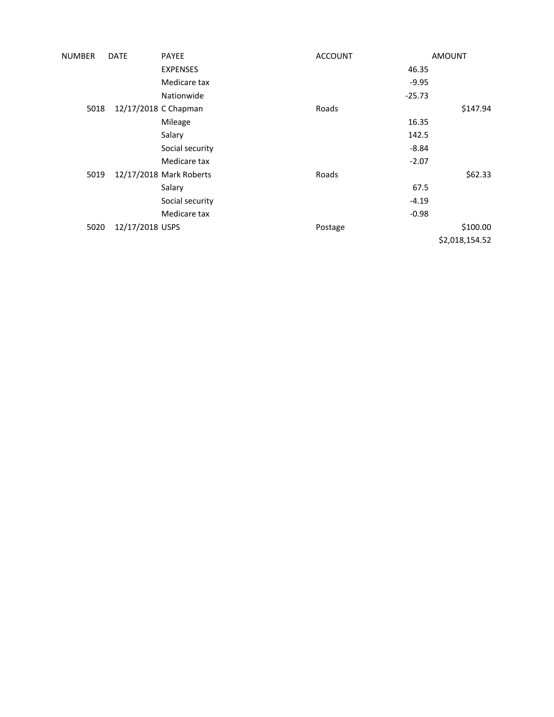| NUMBER | <b>DATE</b>          | <b>PAYEE</b>            | <b>ACCOUNT</b> |          | <b>AMOUNT</b>  |
|--------|----------------------|-------------------------|----------------|----------|----------------|
|        |                      | <b>EXPENSES</b>         |                | 46.35    |                |
|        |                      | Medicare tax            |                | $-9.95$  |                |
|        |                      | Nationwide              |                | $-25.73$ |                |
| 5018   | 12/17/2018 C Chapman |                         | Roads          |          | \$147.94       |
|        |                      | Mileage                 |                | 16.35    |                |
|        |                      | Salary                  |                | 142.5    |                |
|        |                      | Social security         |                | $-8.84$  |                |
|        |                      | Medicare tax            |                | $-2.07$  |                |
| 5019   |                      | 12/17/2018 Mark Roberts | Roads          |          | \$62.33        |
|        |                      | Salary                  |                | 67.5     |                |
|        |                      | Social security         |                | $-4.19$  |                |
|        |                      | Medicare tax            |                | $-0.98$  |                |
| 5020   | 12/17/2018 USPS      |                         | Postage        |          | \$100.00       |
|        |                      |                         |                |          | \$2,018,154.52 |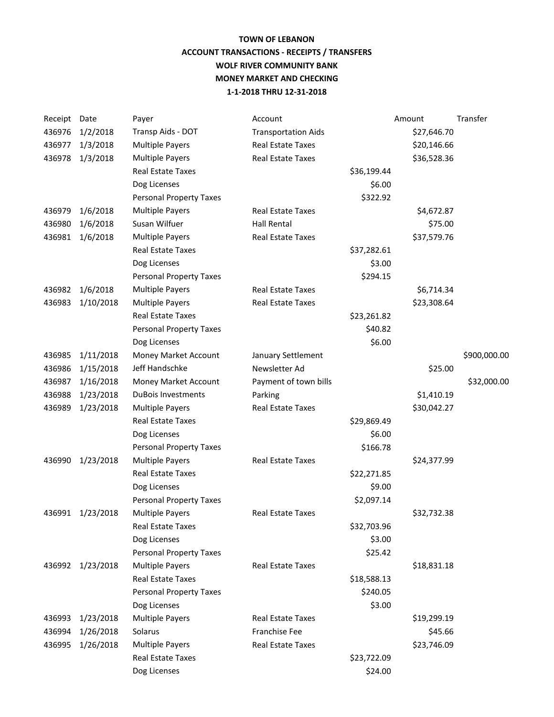## **TOWN OF LEBANON ACCOUNT TRANSACTIONS - RECEIPTS / TRANSFERS WOLF RIVER COMMUNITY BANK MONEY MARKET AND CHECKING 1-1-2018 THRU 12-31-2018**

| Receipt Date |                  | Payer                          | Account                    |             | Amount      | Transfer     |
|--------------|------------------|--------------------------------|----------------------------|-------------|-------------|--------------|
| 436976       | 1/2/2018         | Transp Aids - DOT              | <b>Transportation Aids</b> |             | \$27,646.70 |              |
| 436977       | 1/3/2018         | <b>Multiple Payers</b>         | Real Estate Taxes          |             | \$20,146.66 |              |
| 436978       | 1/3/2018         | <b>Multiple Payers</b>         | <b>Real Estate Taxes</b>   |             | \$36,528.36 |              |
|              |                  | <b>Real Estate Taxes</b>       |                            | \$36,199.44 |             |              |
|              |                  | Dog Licenses                   |                            | \$6.00      |             |              |
|              |                  | <b>Personal Property Taxes</b> |                            | \$322.92    |             |              |
| 436979       | 1/6/2018         | <b>Multiple Payers</b>         | <b>Real Estate Taxes</b>   |             | \$4,672.87  |              |
| 436980       | 1/6/2018         | Susan Wilfuer                  | <b>Hall Rental</b>         |             | \$75.00     |              |
| 436981       | 1/6/2018         | <b>Multiple Payers</b>         | <b>Real Estate Taxes</b>   |             | \$37,579.76 |              |
|              |                  | <b>Real Estate Taxes</b>       |                            | \$37,282.61 |             |              |
|              |                  | Dog Licenses                   |                            | \$3.00      |             |              |
|              |                  | <b>Personal Property Taxes</b> |                            | \$294.15    |             |              |
| 436982       | 1/6/2018         | <b>Multiple Payers</b>         | <b>Real Estate Taxes</b>   |             | \$6,714.34  |              |
| 436983       | 1/10/2018        | <b>Multiple Payers</b>         | <b>Real Estate Taxes</b>   |             | \$23,308.64 |              |
|              |                  | <b>Real Estate Taxes</b>       |                            | \$23,261.82 |             |              |
|              |                  | <b>Personal Property Taxes</b> |                            | \$40.82     |             |              |
|              |                  | Dog Licenses                   |                            | \$6.00      |             |              |
| 436985       | 1/11/2018        | Money Market Account           | January Settlement         |             |             | \$900,000.00 |
| 436986       | 1/15/2018        | Jeff Handschke                 | Newsletter Ad              |             | \$25.00     |              |
| 436987       | 1/16/2018        | Money Market Account           | Payment of town bills      |             |             | \$32,000.00  |
| 436988       | 1/23/2018        | <b>DuBois Investments</b>      | Parking                    |             | \$1,410.19  |              |
| 436989       | 1/23/2018        | <b>Multiple Payers</b>         | <b>Real Estate Taxes</b>   |             | \$30,042.27 |              |
|              |                  | <b>Real Estate Taxes</b>       |                            | \$29,869.49 |             |              |
|              |                  | Dog Licenses                   |                            | \$6.00      |             |              |
|              |                  | <b>Personal Property Taxes</b> |                            | \$166.78    |             |              |
| 436990       | 1/23/2018        | <b>Multiple Payers</b>         | <b>Real Estate Taxes</b>   |             | \$24,377.99 |              |
|              |                  | Real Estate Taxes              |                            | \$22,271.85 |             |              |
|              |                  | Dog Licenses                   |                            | \$9.00      |             |              |
|              |                  | <b>Personal Property Taxes</b> |                            | \$2,097.14  |             |              |
| 436991       | 1/23/2018        | <b>Multiple Payers</b>         | <b>Real Estate Taxes</b>   |             | \$32,732.38 |              |
|              |                  | <b>Real Estate Taxes</b>       |                            | \$32,703.96 |             |              |
|              |                  | Dog Licenses                   |                            | \$3.00      |             |              |
|              |                  | <b>Personal Property Taxes</b> |                            | \$25.42     |             |              |
|              | 436992 1/23/2018 | <b>Multiple Payers</b>         | <b>Real Estate Taxes</b>   |             | \$18,831.18 |              |
|              |                  | <b>Real Estate Taxes</b>       |                            | \$18,588.13 |             |              |
|              |                  | <b>Personal Property Taxes</b> |                            | \$240.05    |             |              |
|              |                  | Dog Licenses                   |                            | \$3.00      |             |              |
| 436993       | 1/23/2018        | <b>Multiple Payers</b>         | <b>Real Estate Taxes</b>   |             | \$19,299.19 |              |
| 436994       | 1/26/2018        | Solarus                        | Franchise Fee              |             | \$45.66     |              |
| 436995       | 1/26/2018        | <b>Multiple Payers</b>         | <b>Real Estate Taxes</b>   |             | \$23,746.09 |              |
|              |                  | <b>Real Estate Taxes</b>       |                            | \$23,722.09 |             |              |
|              |                  | Dog Licenses                   |                            | \$24.00     |             |              |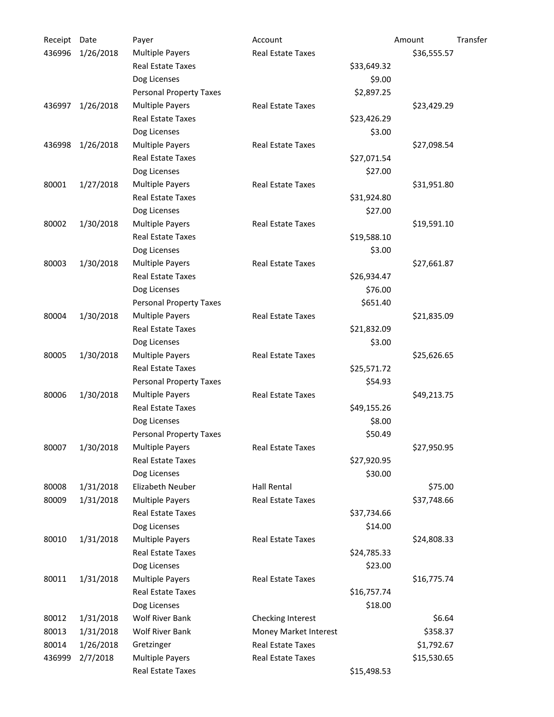| Receipt | Date      | Payer                          | Account                  |             | Amount      | Transfer |
|---------|-----------|--------------------------------|--------------------------|-------------|-------------|----------|
| 436996  | 1/26/2018 | <b>Multiple Payers</b>         | <b>Real Estate Taxes</b> |             | \$36,555.57 |          |
|         |           | <b>Real Estate Taxes</b>       |                          | \$33,649.32 |             |          |
|         |           | Dog Licenses                   |                          | \$9.00      |             |          |
|         |           | <b>Personal Property Taxes</b> |                          | \$2,897.25  |             |          |
| 436997  | 1/26/2018 | <b>Multiple Payers</b>         | <b>Real Estate Taxes</b> |             | \$23,429.29 |          |
|         |           | <b>Real Estate Taxes</b>       |                          | \$23,426.29 |             |          |
|         |           | Dog Licenses                   |                          | \$3.00      |             |          |
| 436998  | 1/26/2018 | <b>Multiple Payers</b>         | <b>Real Estate Taxes</b> |             | \$27,098.54 |          |
|         |           | <b>Real Estate Taxes</b>       |                          | \$27,071.54 |             |          |
|         |           | Dog Licenses                   |                          | \$27.00     |             |          |
| 80001   | 1/27/2018 | <b>Multiple Payers</b>         | <b>Real Estate Taxes</b> |             | \$31,951.80 |          |
|         |           | <b>Real Estate Taxes</b>       |                          | \$31,924.80 |             |          |
|         |           | Dog Licenses                   |                          | \$27.00     |             |          |
| 80002   | 1/30/2018 | <b>Multiple Payers</b>         | <b>Real Estate Taxes</b> |             | \$19,591.10 |          |
|         |           | <b>Real Estate Taxes</b>       |                          | \$19,588.10 |             |          |
|         |           | Dog Licenses                   |                          | \$3.00      |             |          |
| 80003   | 1/30/2018 | <b>Multiple Payers</b>         | <b>Real Estate Taxes</b> |             | \$27,661.87 |          |
|         |           | <b>Real Estate Taxes</b>       |                          | \$26,934.47 |             |          |
|         |           | Dog Licenses                   |                          | \$76.00     |             |          |
|         |           | <b>Personal Property Taxes</b> |                          | \$651.40    |             |          |
| 80004   | 1/30/2018 | <b>Multiple Payers</b>         | <b>Real Estate Taxes</b> |             | \$21,835.09 |          |
|         |           | <b>Real Estate Taxes</b>       |                          | \$21,832.09 |             |          |
|         |           | Dog Licenses                   |                          | \$3.00      |             |          |
| 80005   | 1/30/2018 | <b>Multiple Payers</b>         | <b>Real Estate Taxes</b> |             | \$25,626.65 |          |
|         |           | <b>Real Estate Taxes</b>       |                          | \$25,571.72 |             |          |
|         |           | <b>Personal Property Taxes</b> |                          | \$54.93     |             |          |
| 80006   | 1/30/2018 | <b>Multiple Payers</b>         | <b>Real Estate Taxes</b> |             | \$49,213.75 |          |
|         |           | Real Estate Taxes              |                          | \$49,155.26 |             |          |
|         |           | Dog Licenses                   |                          | \$8.00      |             |          |
|         |           | <b>Personal Property Taxes</b> |                          | \$50.49     |             |          |
| 80007   | 1/30/2018 | <b>Multiple Payers</b>         | <b>Real Estate Taxes</b> |             | \$27,950.95 |          |
|         |           | Real Estate Taxes              |                          | \$27,920.95 |             |          |
|         |           | Dog Licenses                   |                          | \$30.00     |             |          |
| 80008   | 1/31/2018 | Elizabeth Neuber               | <b>Hall Rental</b>       |             | \$75.00     |          |
| 80009   | 1/31/2018 | <b>Multiple Payers</b>         | <b>Real Estate Taxes</b> |             | \$37,748.66 |          |
|         |           | <b>Real Estate Taxes</b>       |                          | \$37,734.66 |             |          |
|         |           | Dog Licenses                   |                          | \$14.00     |             |          |
| 80010   | 1/31/2018 | <b>Multiple Payers</b>         | <b>Real Estate Taxes</b> |             | \$24,808.33 |          |
|         |           | <b>Real Estate Taxes</b>       |                          | \$24,785.33 |             |          |
|         |           | Dog Licenses                   |                          | \$23.00     |             |          |
| 80011   | 1/31/2018 | <b>Multiple Payers</b>         | <b>Real Estate Taxes</b> |             | \$16,775.74 |          |
|         |           | <b>Real Estate Taxes</b>       |                          | \$16,757.74 |             |          |
|         |           | Dog Licenses                   |                          | \$18.00     |             |          |
| 80012   | 1/31/2018 | <b>Wolf River Bank</b>         | Checking Interest        |             | \$6.64      |          |
| 80013   | 1/31/2018 | <b>Wolf River Bank</b>         | Money Market Interest    |             | \$358.37    |          |
| 80014   | 1/26/2018 | Gretzinger                     | <b>Real Estate Taxes</b> |             | \$1,792.67  |          |
| 436999  | 2/7/2018  | <b>Multiple Payers</b>         | Real Estate Taxes        |             | \$15,530.65 |          |
|         |           | Real Estate Taxes              |                          | \$15,498.53 |             |          |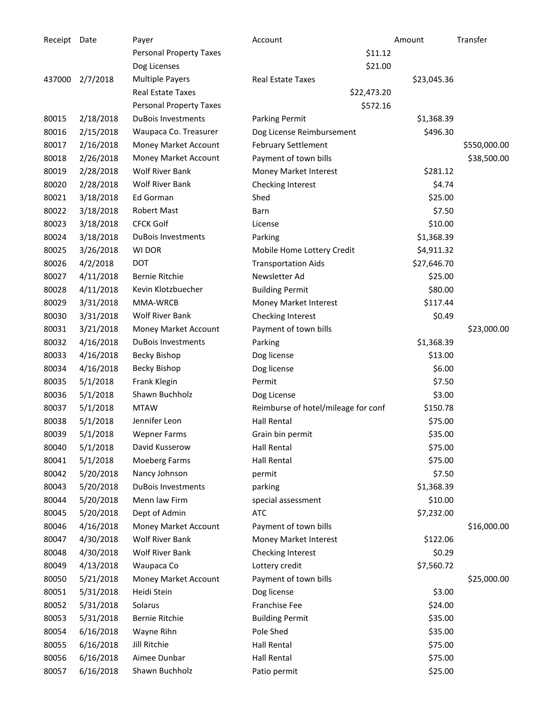| Receipt Date |           | Payer                          | Account                             | Amount      | Transfer     |
|--------------|-----------|--------------------------------|-------------------------------------|-------------|--------------|
|              |           | <b>Personal Property Taxes</b> | \$11.12                             |             |              |
|              |           | Dog Licenses                   | \$21.00                             |             |              |
| 437000       | 2/7/2018  | <b>Multiple Payers</b>         | <b>Real Estate Taxes</b>            | \$23,045.36 |              |
|              |           | <b>Real Estate Taxes</b>       | \$22,473.20                         |             |              |
|              |           | <b>Personal Property Taxes</b> | \$572.16                            |             |              |
| 80015        | 2/18/2018 | <b>DuBois Investments</b>      | <b>Parking Permit</b>               | \$1,368.39  |              |
| 80016        | 2/15/2018 | Waupaca Co. Treasurer          | Dog License Reimbursement           | \$496.30    |              |
| 80017        | 2/16/2018 | Money Market Account           | <b>February Settlement</b>          |             | \$550,000.00 |
| 80018        | 2/26/2018 | Money Market Account           | Payment of town bills               |             | \$38,500.00  |
| 80019        | 2/28/2018 | <b>Wolf River Bank</b>         | Money Market Interest               | \$281.12    |              |
| 80020        | 2/28/2018 | <b>Wolf River Bank</b>         | Checking Interest                   | \$4.74      |              |
| 80021        | 3/18/2018 | Ed Gorman                      | Shed                                | \$25.00     |              |
| 80022        | 3/18/2018 | <b>Robert Mast</b>             | Barn                                | \$7.50      |              |
| 80023        | 3/18/2018 | <b>CFCK Golf</b>               | License                             | \$10.00     |              |
| 80024        | 3/18/2018 | <b>DuBois Investments</b>      | Parking                             | \$1,368.39  |              |
| 80025        | 3/26/2018 | WI DOR                         | Mobile Home Lottery Credit          | \$4,911.32  |              |
| 80026        | 4/2/2018  | <b>DOT</b>                     | <b>Transportation Aids</b>          | \$27,646.70 |              |
| 80027        | 4/11/2018 | Bernie Ritchie                 | Newsletter Ad                       | \$25.00     |              |
| 80028        | 4/11/2018 | Kevin Klotzbuecher             | <b>Building Permit</b>              | \$80.00     |              |
| 80029        | 3/31/2018 | MMA-WRCB                       | Money Market Interest               | \$117.44    |              |
| 80030        | 3/31/2018 | <b>Wolf River Bank</b>         | Checking Interest                   | \$0.49      |              |
| 80031        | 3/21/2018 | Money Market Account           | Payment of town bills               |             | \$23,000.00  |
| 80032        | 4/16/2018 | <b>DuBois Investments</b>      | Parking                             | \$1,368.39  |              |
| 80033        | 4/16/2018 | Becky Bishop                   | Dog license                         | \$13.00     |              |
| 80034        | 4/16/2018 | Becky Bishop                   | Dog license                         | \$6.00      |              |
| 80035        | 5/1/2018  | Frank Klegin                   | Permit                              | \$7.50      |              |
| 80036        | 5/1/2018  | Shawn Buchholz                 | Dog License                         | \$3.00      |              |
| 80037        | 5/1/2018  | <b>MTAW</b>                    | Reimburse of hotel/mileage for conf | \$150.78    |              |
| 80038        | 5/1/2018  | Jennifer Leon                  | <b>Hall Rental</b>                  | \$75.00     |              |
| 80039        | 5/1/2018  | <b>Wepner Farms</b>            | Grain bin permit                    | \$35.00     |              |
| 80040        | 5/1/2018  | David Kusserow                 | <b>Hall Rental</b>                  | \$75.00     |              |
| 80041        | 5/1/2018  | <b>Moeberg Farms</b>           | <b>Hall Rental</b>                  | \$75.00     |              |
| 80042        | 5/20/2018 | Nancy Johnson                  | permit                              | \$7.50      |              |
| 80043        | 5/20/2018 | <b>DuBois Investments</b>      | parking                             | \$1,368.39  |              |
| 80044        | 5/20/2018 | Menn law Firm                  | special assessment                  | \$10.00     |              |
| 80045        | 5/20/2018 | Dept of Admin                  | <b>ATC</b>                          | \$7,232.00  |              |
| 80046        | 4/16/2018 | Money Market Account           | Payment of town bills               |             | \$16,000.00  |
| 80047        | 4/30/2018 | Wolf River Bank                | Money Market Interest               | \$122.06    |              |
| 80048        | 4/30/2018 | <b>Wolf River Bank</b>         | Checking Interest                   | \$0.29      |              |
| 80049        | 4/13/2018 | Waupaca Co                     | Lottery credit                      | \$7,560.72  |              |
| 80050        | 5/21/2018 | Money Market Account           | Payment of town bills               |             | \$25,000.00  |
| 80051        | 5/31/2018 | Heidi Stein                    | Dog license                         | \$3.00      |              |
| 80052        | 5/31/2018 | Solarus                        | Franchise Fee                       | \$24.00     |              |
| 80053        | 5/31/2018 | Bernie Ritchie                 | <b>Building Permit</b>              | \$35.00     |              |
| 80054        | 6/16/2018 | Wayne Rihn                     | Pole Shed                           | \$35.00     |              |
| 80055        | 6/16/2018 | Jill Ritchie                   | <b>Hall Rental</b>                  | \$75.00     |              |
| 80056        | 6/16/2018 | Aimee Dunbar                   | <b>Hall Rental</b>                  | \$75.00     |              |
| 80057        | 6/16/2018 | Shawn Buchholz                 | Patio permit                        | \$25.00     |              |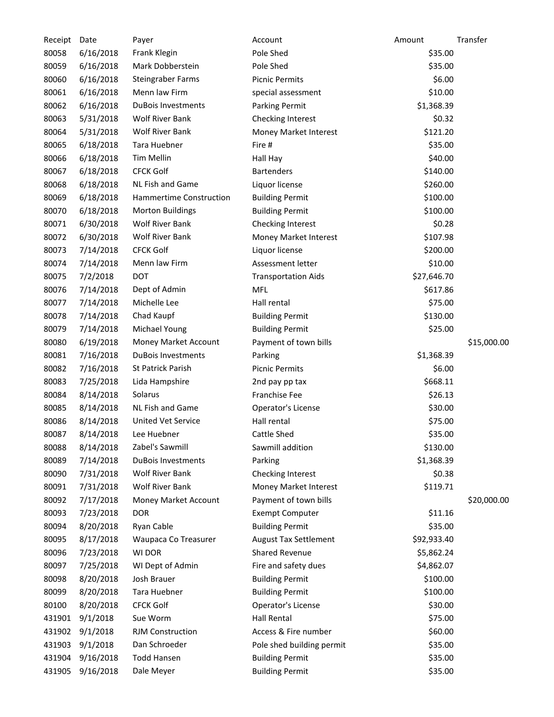| Receipt | Date      | Payer                     | Account                      | Amount      | Transfer    |
|---------|-----------|---------------------------|------------------------------|-------------|-------------|
| 80058   | 6/16/2018 | Frank Klegin              | Pole Shed                    | \$35.00     |             |
| 80059   | 6/16/2018 | Mark Dobberstein          | Pole Shed                    | \$35.00     |             |
| 80060   | 6/16/2018 | Steingraber Farms         | <b>Picnic Permits</b>        | \$6.00      |             |
| 80061   | 6/16/2018 | Menn law Firm             | special assessment           | \$10.00     |             |
| 80062   | 6/16/2018 | <b>DuBois Investments</b> | <b>Parking Permit</b>        | \$1,368.39  |             |
| 80063   | 5/31/2018 | Wolf River Bank           | Checking Interest            | \$0.32      |             |
| 80064   | 5/31/2018 | Wolf River Bank           | Money Market Interest        | \$121.20    |             |
| 80065   | 6/18/2018 | Tara Huebner              | Fire #                       | \$35.00     |             |
| 80066   | 6/18/2018 | Tim Mellin                | Hall Hay                     | \$40.00     |             |
| 80067   | 6/18/2018 | <b>CFCK Golf</b>          | <b>Bartenders</b>            | \$140.00    |             |
| 80068   | 6/18/2018 | <b>NL Fish and Game</b>   | Liquor license               | \$260.00    |             |
| 80069   | 6/18/2018 | Hammertime Construction   | <b>Building Permit</b>       | \$100.00    |             |
| 80070   | 6/18/2018 | <b>Morton Buildings</b>   | <b>Building Permit</b>       | \$100.00    |             |
| 80071   | 6/30/2018 | <b>Wolf River Bank</b>    | Checking Interest            | \$0.28      |             |
| 80072   | 6/30/2018 | <b>Wolf River Bank</b>    | Money Market Interest        | \$107.98    |             |
| 80073   | 7/14/2018 | <b>CFCK Golf</b>          | Liquor license               | \$200.00    |             |
| 80074   | 7/14/2018 | Menn law Firm             | Assessment letter            | \$10.00     |             |
| 80075   | 7/2/2018  | DOT                       | <b>Transportation Aids</b>   | \$27,646.70 |             |
| 80076   | 7/14/2018 | Dept of Admin             | <b>MFL</b>                   | \$617.86    |             |
| 80077   | 7/14/2018 | Michelle Lee              | Hall rental                  | \$75.00     |             |
| 80078   | 7/14/2018 | Chad Kaupf                | <b>Building Permit</b>       | \$130.00    |             |
| 80079   | 7/14/2018 | Michael Young             | <b>Building Permit</b>       | \$25.00     |             |
| 80080   | 6/19/2018 | Money Market Account      | Payment of town bills        |             | \$15,000.00 |
| 80081   | 7/16/2018 | <b>DuBois Investments</b> | Parking                      | \$1,368.39  |             |
| 80082   | 7/16/2018 | St Patrick Parish         | <b>Picnic Permits</b>        | \$6.00      |             |
| 80083   | 7/25/2018 | Lida Hampshire            | 2nd pay pp tax               | \$668.11    |             |
| 80084   | 8/14/2018 | Solarus                   | Franchise Fee                | \$26.13     |             |
| 80085   | 8/14/2018 | <b>NL Fish and Game</b>   | Operator's License           | \$30.00     |             |
| 80086   | 8/14/2018 | <b>United Vet Service</b> | Hall rental                  | \$75.00     |             |
| 80087   | 8/14/2018 | Lee Huebner               | Cattle Shed                  | \$35.00     |             |
| 80088   | 8/14/2018 | Zabel's Sawmill           | Sawmill addition             | \$130.00    |             |
| 80089   | 7/14/2018 | <b>DuBois Investments</b> | Parking                      | \$1,368.39  |             |
| 80090   | 7/31/2018 | Wolf River Bank           | Checking Interest            | \$0.38      |             |
| 80091   | 7/31/2018 | <b>Wolf River Bank</b>    | Money Market Interest        | \$119.71    |             |
| 80092   | 7/17/2018 | Money Market Account      | Payment of town bills        |             | \$20,000.00 |
| 80093   | 7/23/2018 | <b>DOR</b>                | <b>Exempt Computer</b>       | \$11.16     |             |
| 80094   | 8/20/2018 | Ryan Cable                | <b>Building Permit</b>       | \$35.00     |             |
| 80095   | 8/17/2018 | Waupaca Co Treasurer      | <b>August Tax Settlement</b> | \$92,933.40 |             |
| 80096   | 7/23/2018 | WI DOR                    | <b>Shared Revenue</b>        | \$5,862.24  |             |
| 80097   | 7/25/2018 | WI Dept of Admin          | Fire and safety dues         | \$4,862.07  |             |
| 80098   | 8/20/2018 | Josh Brauer               | <b>Building Permit</b>       | \$100.00    |             |
| 80099   | 8/20/2018 | Tara Huebner              | <b>Building Permit</b>       | \$100.00    |             |
| 80100   | 8/20/2018 | <b>CFCK Golf</b>          | Operator's License           | \$30.00     |             |
| 431901  | 9/1/2018  | Sue Worm                  | Hall Rental                  | \$75.00     |             |
| 431902  | 9/1/2018  | <b>RJM Construction</b>   | Access & Fire number         | \$60.00     |             |
| 431903  | 9/1/2018  | Dan Schroeder             | Pole shed building permit    | \$35.00     |             |
| 431904  | 9/16/2018 | <b>Todd Hansen</b>        | <b>Building Permit</b>       | \$35.00     |             |
| 431905  | 9/16/2018 | Dale Meyer                | <b>Building Permit</b>       | \$35.00     |             |
|         |           |                           |                              |             |             |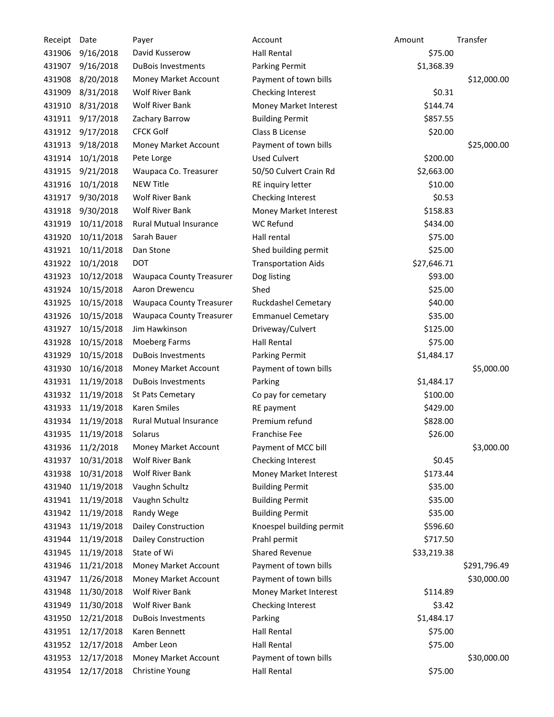| Receipt Date |            | Payer                           | Account                    | Amount      | Transfer     |
|--------------|------------|---------------------------------|----------------------------|-------------|--------------|
| 431906       | 9/16/2018  | David Kusserow                  | <b>Hall Rental</b>         | \$75.00     |              |
| 431907       | 9/16/2018  | <b>DuBois Investments</b>       | Parking Permit             | \$1,368.39  |              |
| 431908       | 8/20/2018  | Money Market Account            | Payment of town bills      |             | \$12,000.00  |
| 431909       | 8/31/2018  | <b>Wolf River Bank</b>          | Checking Interest          | \$0.31      |              |
| 431910       | 8/31/2018  | <b>Wolf River Bank</b>          | Money Market Interest      | \$144.74    |              |
| 431911       | 9/17/2018  | Zachary Barrow                  | <b>Building Permit</b>     | \$857.55    |              |
| 431912       | 9/17/2018  | <b>CFCK Golf</b>                | Class B License            | \$20.00     |              |
| 431913       | 9/18/2018  | Money Market Account            | Payment of town bills      |             | \$25,000.00  |
| 431914       | 10/1/2018  | Pete Lorge                      | <b>Used Culvert</b>        | \$200.00    |              |
| 431915       | 9/21/2018  | Waupaca Co. Treasurer           | 50/50 Culvert Crain Rd     | \$2,663.00  |              |
| 431916       | 10/1/2018  | <b>NEW Title</b>                | RE inquiry letter          | \$10.00     |              |
| 431917       | 9/30/2018  | <b>Wolf River Bank</b>          | Checking Interest          | \$0.53      |              |
| 431918       | 9/30/2018  | <b>Wolf River Bank</b>          | Money Market Interest      | \$158.83    |              |
| 431919       | 10/11/2018 | <b>Rural Mutual Insurance</b>   | <b>WC Refund</b>           | \$434.00    |              |
| 431920       | 10/11/2018 | Sarah Bauer                     | Hall rental                | \$75.00     |              |
| 431921       | 10/11/2018 | Dan Stone                       | Shed building permit       | \$25.00     |              |
| 431922       | 10/1/2018  | <b>DOT</b>                      | <b>Transportation Aids</b> | \$27,646.71 |              |
| 431923       | 10/12/2018 | <b>Waupaca County Treasurer</b> | Dog listing                | \$93.00     |              |
| 431924       | 10/15/2018 | Aaron Drewencu                  | Shed                       | \$25.00     |              |
| 431925       | 10/15/2018 | <b>Waupaca County Treasurer</b> | Ruckdashel Cemetary        | \$40.00     |              |
| 431926       | 10/15/2018 | <b>Waupaca County Treasurer</b> | <b>Emmanuel Cemetary</b>   | \$35.00     |              |
| 431927       | 10/15/2018 | Jim Hawkinson                   | Driveway/Culvert           | \$125.00    |              |
| 431928       | 10/15/2018 | <b>Moeberg Farms</b>            | <b>Hall Rental</b>         | \$75.00     |              |
| 431929       | 10/15/2018 | <b>DuBois Investments</b>       | <b>Parking Permit</b>      | \$1,484.17  |              |
| 431930       | 10/16/2018 | Money Market Account            | Payment of town bills      |             | \$5,000.00   |
| 431931       | 11/19/2018 | <b>DuBois Investments</b>       | Parking                    | \$1,484.17  |              |
| 431932       | 11/19/2018 | St Pats Cemetary                | Co pay for cemetary        | \$100.00    |              |
| 431933       | 11/19/2018 | <b>Karen Smiles</b>             | RE payment                 | \$429.00    |              |
| 431934       | 11/19/2018 | <b>Rural Mutual Insurance</b>   | Premium refund             | \$828.00    |              |
| 431935       | 11/19/2018 | Solarus                         | Franchise Fee              | \$26.00     |              |
| 431936       | 11/2/2018  | Money Market Account            | Payment of MCC bill        |             | \$3,000.00   |
| 431937       | 10/31/2018 | <b>Wolf River Bank</b>          | Checking Interest          | \$0.45      |              |
| 431938       | 10/31/2018 | <b>Wolf River Bank</b>          | Money Market Interest      | \$173.44    |              |
| 431940       | 11/19/2018 | Vaughn Schultz                  | <b>Building Permit</b>     | \$35.00     |              |
| 431941       | 11/19/2018 | Vaughn Schultz                  | <b>Building Permit</b>     | \$35.00     |              |
| 431942       | 11/19/2018 | Randy Wege                      | <b>Building Permit</b>     | \$35.00     |              |
| 431943       | 11/19/2018 | Dailey Construction             | Knoespel building permit   | \$596.60    |              |
| 431944       | 11/19/2018 | Dailey Construction             | Prahl permit               | \$717.50    |              |
| 431945       | 11/19/2018 | State of Wi                     | <b>Shared Revenue</b>      | \$33,219.38 |              |
| 431946       | 11/21/2018 | Money Market Account            | Payment of town bills      |             | \$291,796.49 |
| 431947       | 11/26/2018 | Money Market Account            | Payment of town bills      |             | \$30,000.00  |
| 431948       | 11/30/2018 | <b>Wolf River Bank</b>          | Money Market Interest      | \$114.89    |              |
| 431949       | 11/30/2018 | <b>Wolf River Bank</b>          | Checking Interest          | \$3.42      |              |
| 431950       | 12/21/2018 | <b>DuBois Investments</b>       | Parking                    | \$1,484.17  |              |
| 431951       | 12/17/2018 | Karen Bennett                   | <b>Hall Rental</b>         | \$75.00     |              |
| 431952       | 12/17/2018 | Amber Leon                      | <b>Hall Rental</b>         | \$75.00     |              |
| 431953       | 12/17/2018 | Money Market Account            | Payment of town bills      |             | \$30,000.00  |
| 431954       | 12/17/2018 | <b>Christine Young</b>          | Hall Rental                | \$75.00     |              |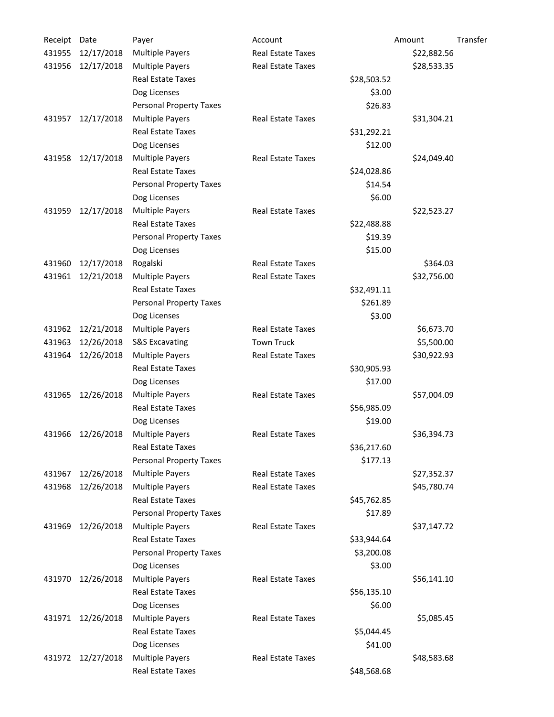| Receipt | Date       | Payer                          | Account                  |             | Amount      | Transfer |
|---------|------------|--------------------------------|--------------------------|-------------|-------------|----------|
| 431955  | 12/17/2018 | <b>Multiple Payers</b>         | Real Estate Taxes        |             | \$22,882.56 |          |
| 431956  | 12/17/2018 | <b>Multiple Payers</b>         | Real Estate Taxes        |             | \$28,533.35 |          |
|         |            | <b>Real Estate Taxes</b>       |                          | \$28,503.52 |             |          |
|         |            | Dog Licenses                   |                          | \$3.00      |             |          |
|         |            | <b>Personal Property Taxes</b> |                          | \$26.83     |             |          |
| 431957  | 12/17/2018 | <b>Multiple Payers</b>         | <b>Real Estate Taxes</b> |             | \$31,304.21 |          |
|         |            | <b>Real Estate Taxes</b>       |                          | \$31,292.21 |             |          |
|         |            | Dog Licenses                   |                          | \$12.00     |             |          |
| 431958  | 12/17/2018 | <b>Multiple Payers</b>         | <b>Real Estate Taxes</b> |             | \$24,049.40 |          |
|         |            | <b>Real Estate Taxes</b>       |                          | \$24,028.86 |             |          |
|         |            | <b>Personal Property Taxes</b> |                          | \$14.54     |             |          |
|         |            | Dog Licenses                   |                          | \$6.00      |             |          |
| 431959  | 12/17/2018 | <b>Multiple Payers</b>         | <b>Real Estate Taxes</b> |             | \$22,523.27 |          |
|         |            | <b>Real Estate Taxes</b>       |                          | \$22,488.88 |             |          |
|         |            | <b>Personal Property Taxes</b> |                          | \$19.39     |             |          |
|         |            | Dog Licenses                   |                          | \$15.00     |             |          |
| 431960  | 12/17/2018 | Rogalski                       | <b>Real Estate Taxes</b> |             | \$364.03    |          |
| 431961  | 12/21/2018 | <b>Multiple Payers</b>         | Real Estate Taxes        |             | \$32,756.00 |          |
|         |            | <b>Real Estate Taxes</b>       |                          | \$32,491.11 |             |          |
|         |            | <b>Personal Property Taxes</b> |                          | \$261.89    |             |          |
|         |            | Dog Licenses                   |                          | \$3.00      |             |          |
| 431962  | 12/21/2018 | <b>Multiple Payers</b>         | <b>Real Estate Taxes</b> |             | \$6,673.70  |          |
| 431963  | 12/26/2018 | <b>S&amp;S Excavating</b>      | <b>Town Truck</b>        |             | \$5,500.00  |          |
| 431964  | 12/26/2018 | <b>Multiple Payers</b>         | Real Estate Taxes        |             | \$30,922.93 |          |
|         |            | <b>Real Estate Taxes</b>       |                          | \$30,905.93 |             |          |
|         |            | Dog Licenses                   |                          | \$17.00     |             |          |
| 431965  | 12/26/2018 | <b>Multiple Payers</b>         | Real Estate Taxes        |             | \$57,004.09 |          |
|         |            | Real Estate Taxes              |                          | \$56,985.09 |             |          |
|         |            | Dog Licenses                   |                          | \$19.00     |             |          |
| 431966  | 12/26/2018 | <b>Multiple Payers</b>         | <b>Real Estate Taxes</b> |             | \$36,394.73 |          |
|         |            | <b>Real Estate Taxes</b>       |                          | \$36,217.60 |             |          |
|         |            | <b>Personal Property Taxes</b> |                          | \$177.13    |             |          |
| 431967  | 12/26/2018 | <b>Multiple Payers</b>         | <b>Real Estate Taxes</b> |             | \$27,352.37 |          |
| 431968  | 12/26/2018 | <b>Multiple Payers</b>         | <b>Real Estate Taxes</b> |             | \$45,780.74 |          |
|         |            | <b>Real Estate Taxes</b>       |                          | \$45,762.85 |             |          |
|         |            | <b>Personal Property Taxes</b> |                          | \$17.89     |             |          |
| 431969  | 12/26/2018 | <b>Multiple Payers</b>         | <b>Real Estate Taxes</b> |             | \$37,147.72 |          |
|         |            | <b>Real Estate Taxes</b>       |                          | \$33,944.64 |             |          |
|         |            | <b>Personal Property Taxes</b> |                          | \$3,200.08  |             |          |
|         |            | Dog Licenses                   |                          | \$3.00      |             |          |
| 431970  | 12/26/2018 | <b>Multiple Payers</b>         | <b>Real Estate Taxes</b> |             | \$56,141.10 |          |
|         |            | <b>Real Estate Taxes</b>       |                          | \$56,135.10 |             |          |
|         |            | Dog Licenses                   |                          | \$6.00      |             |          |
| 431971  | 12/26/2018 | <b>Multiple Payers</b>         | <b>Real Estate Taxes</b> |             | \$5,085.45  |          |
|         |            | Real Estate Taxes              |                          | \$5,044.45  |             |          |
|         |            | Dog Licenses                   |                          | \$41.00     |             |          |
| 431972  | 12/27/2018 | <b>Multiple Payers</b>         | <b>Real Estate Taxes</b> |             | \$48,583.68 |          |
|         |            | <b>Real Estate Taxes</b>       |                          | \$48,568.68 |             |          |